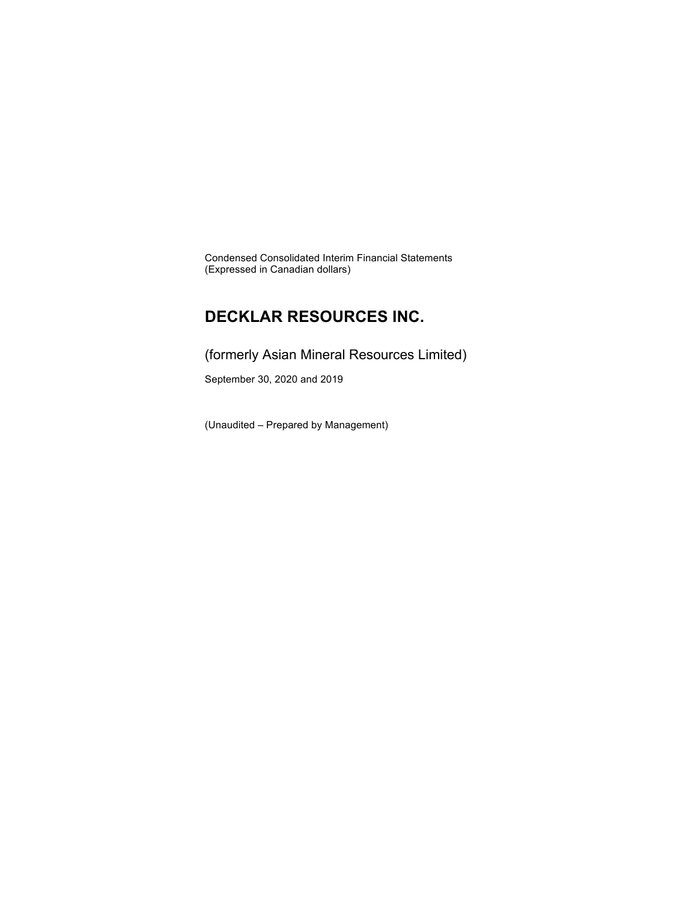Condensed Consolidated Interim Financial Statements (Expressed in Canadian dollars)

### **DECKLAR RESOURCES INC.**

(formerly Asian Mineral Resources Limited)

September 30, 2020 and 2019

(Unaudited – Prepared by Management)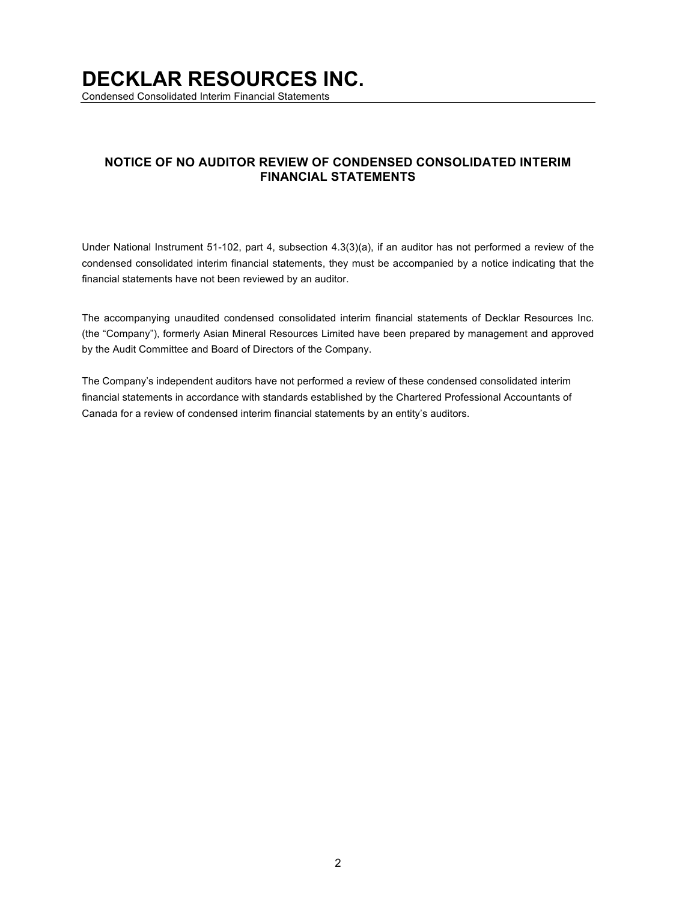Condensed Consolidated Interim Financial Statements

### **NOTICE OF NO AUDITOR REVIEW OF CONDENSED CONSOLIDATED INTERIM FINANCIAL STATEMENTS**

Under National Instrument 51-102, part 4, subsection 4.3(3)(a), if an auditor has not performed a review of the condensed consolidated interim financial statements, they must be accompanied by a notice indicating that the financial statements have not been reviewed by an auditor.

The accompanying unaudited condensed consolidated interim financial statements of Decklar Resources Inc. (the "Company"), formerly Asian Mineral Resources Limited have been prepared by management and approved by the Audit Committee and Board of Directors of the Company.

The Company's independent auditors have not performed a review of these condensed consolidated interim financial statements in accordance with standards established by the Chartered Professional Accountants of Canada for a review of condensed interim financial statements by an entity's auditors.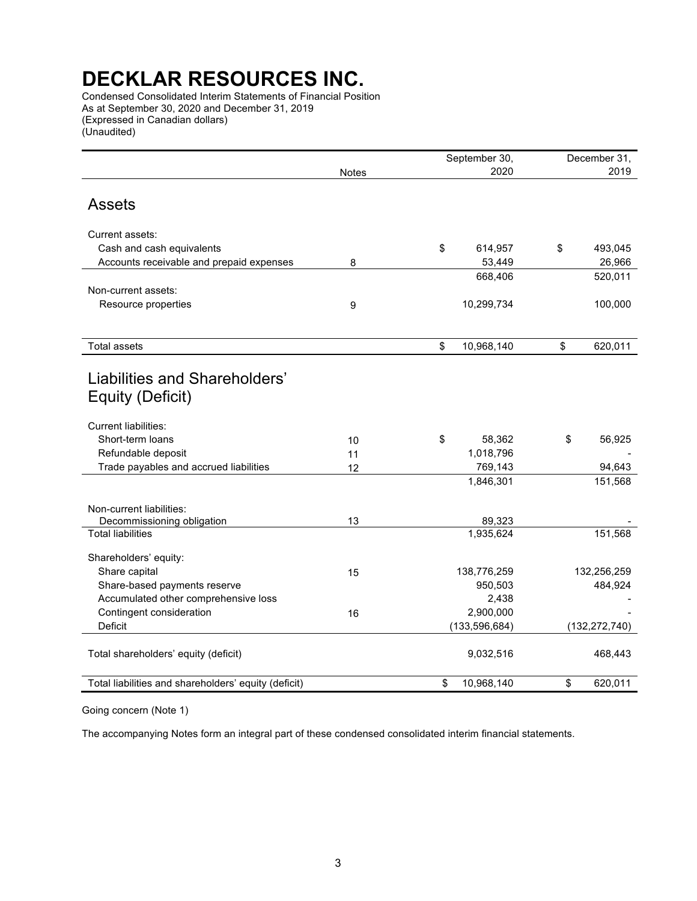Condensed Consolidated Interim Statements of Financial Position As at September 30, 2020 and December 31, 2019 (Expressed in Canadian dollars) (Unaudited)

|                                                              |          | September 30,        | December 31,    |  |  |
|--------------------------------------------------------------|----------|----------------------|-----------------|--|--|
|                                                              | Notes    | 2020                 | 2019            |  |  |
| <b>Assets</b>                                                |          |                      |                 |  |  |
| Current assets:                                              |          |                      |                 |  |  |
| Cash and cash equivalents                                    |          | \$<br>614,957        | \$<br>493,045   |  |  |
| Accounts receivable and prepaid expenses                     | 8        | 53,449               | 26,966          |  |  |
|                                                              |          | 668,406              | 520,011         |  |  |
| Non-current assets:                                          |          |                      |                 |  |  |
| Resource properties                                          | 9        | 10,299,734           | 100,000         |  |  |
|                                                              |          |                      |                 |  |  |
| <b>Total assets</b>                                          |          | \$<br>10,968,140     | \$<br>620,011   |  |  |
| Liabilities and Shareholders'<br>Equity (Deficit)            |          |                      |                 |  |  |
| <b>Current liabilities:</b>                                  |          |                      |                 |  |  |
| Short-term loans                                             | 10       | \$<br>58,362         | \$<br>56,925    |  |  |
| Refundable deposit<br>Trade payables and accrued liabilities | 11<br>12 | 1,018,796<br>769,143 | 94,643          |  |  |
|                                                              |          | 1,846,301            | 151,568         |  |  |
|                                                              |          |                      |                 |  |  |
| Non-current liabilities:<br>Decommissioning obligation       | 13       | 89,323               |                 |  |  |
| <b>Total liabilities</b>                                     |          | 1,935,624            | 151,568         |  |  |
| Shareholders' equity:                                        |          |                      |                 |  |  |
| Share capital                                                | 15       | 138,776,259          | 132,256,259     |  |  |
| Share-based payments reserve                                 |          | 950,503              | 484,924         |  |  |
| Accumulated other comprehensive loss                         |          | 2,438                |                 |  |  |
| Contingent consideration                                     | 16       | 2,900,000            |                 |  |  |
| Deficit                                                      |          | (133, 596, 684)      | (132, 272, 740) |  |  |
| Total shareholders' equity (deficit)                         |          | 9,032,516            | 468,443         |  |  |
| Total liabilities and shareholders' equity (deficit)         |          | \$<br>10,968,140     | \$<br>620,011   |  |  |

Going concern (Note 1)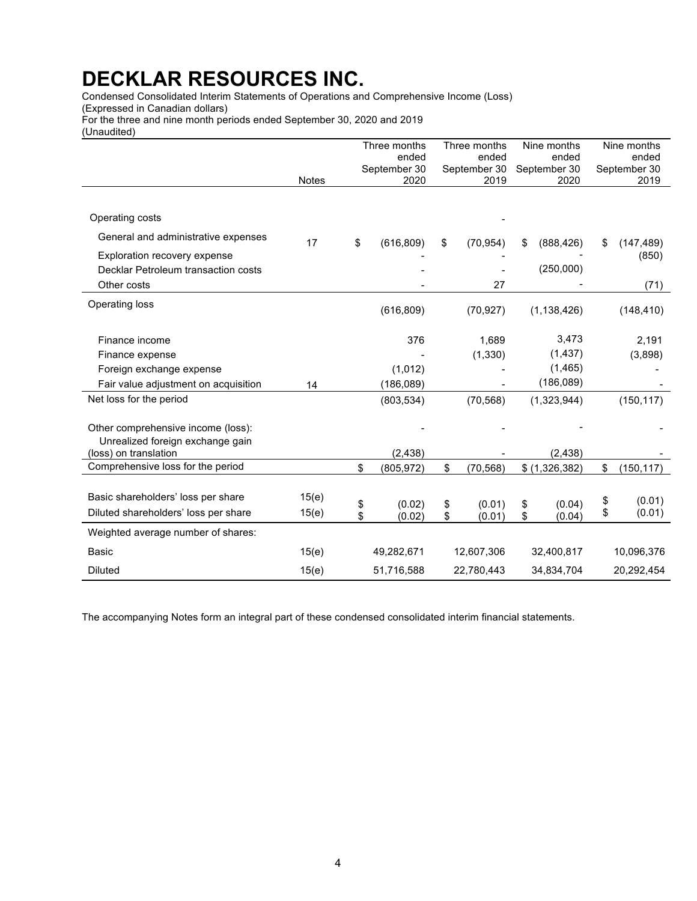Condensed Consolidated Interim Statements of Operations and Comprehensive Income (Loss)

(Expressed in Canadian dollars)

For the three and nine month periods ended September 30, 2020 and 2019

(Unaudited)

|                                                           |              | Three months          | Three months          | Nine months           | Nine months           |
|-----------------------------------------------------------|--------------|-----------------------|-----------------------|-----------------------|-----------------------|
|                                                           |              | ended<br>September 30 | ended<br>September 30 | ended<br>September 30 | ended<br>September 30 |
|                                                           | <b>Notes</b> | 2020                  | 2019                  | 2020                  | 2019                  |
|                                                           |              |                       |                       |                       |                       |
| Operating costs                                           |              |                       |                       |                       |                       |
| General and administrative expenses                       | 17           | \$<br>(616, 809)      | \$<br>(70, 954)       | \$<br>(888, 426)      | \$<br>(147, 489)      |
| Exploration recovery expense                              |              |                       |                       |                       | (850)                 |
| Decklar Petroleum transaction costs                       |              |                       |                       | (250,000)             |                       |
| Other costs                                               |              |                       | 27                    |                       | (71)                  |
| Operating loss                                            |              | (616, 809)            | (70, 927)             | (1, 138, 426)         | (148, 410)            |
| Finance income                                            |              | 376                   | 1.689                 | 3,473                 | 2,191                 |
| Finance expense                                           |              |                       | (1, 330)              | (1, 437)              | (3,898)               |
| Foreign exchange expense                                  |              | (1,012)               |                       | (1, 465)              |                       |
| Fair value adjustment on acquisition                      | 14           | (186, 089)            |                       | (186,089)             |                       |
| Net loss for the period                                   |              | (803, 534)            | (70, 568)             | (1,323,944)           | (150, 117)            |
| Other comprehensive income (loss):                        |              |                       |                       |                       |                       |
| Unrealized foreign exchange gain<br>(loss) on translation |              | (2, 438)              |                       | (2, 438)              |                       |
| Comprehensive loss for the period                         |              | \$<br>(805, 972)      | \$<br>(70, 568)       | \$(1,326,382)         | \$<br>(150, 117)      |
|                                                           |              |                       |                       |                       |                       |
| Basic shareholders' loss per share                        | 15(e)        | \$<br>(0.02)          | \$<br>(0.01)          | \$<br>(0.04)          | \$<br>(0.01)          |
| Diluted shareholders' loss per share                      | 15(e)        | \$<br>(0.02)          | \$<br>(0.01)          | \$<br>(0.04)          | \$<br>(0.01)          |
| Weighted average number of shares:                        |              |                       |                       |                       |                       |
| <b>Basic</b>                                              | 15(e)        | 49,282,671            | 12,607,306            | 32,400,817            | 10,096,376            |
| <b>Diluted</b>                                            | 15(e)        | 51,716,588            | 22,780,443            | 34,834,704            | 20,292,454            |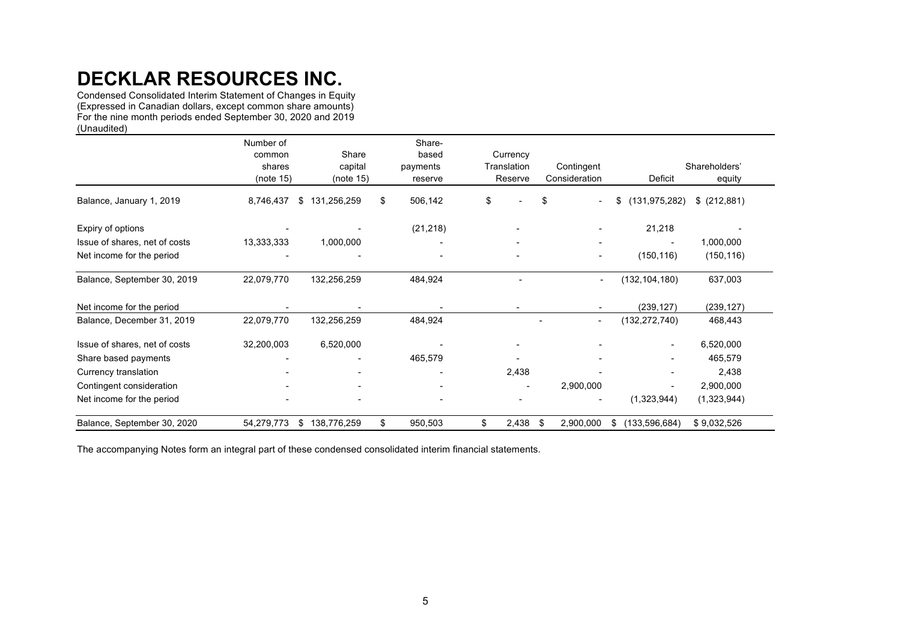Condensed Consolidated Interim Statement of Changes in Equity (Expressed in Canadian dollars, except common share amounts) For the nine month periods ended September 30, 2020 and 2019 (Unaudited)

|                               | Number of  |                          | Share-        |                          |                          |                       |               |
|-------------------------------|------------|--------------------------|---------------|--------------------------|--------------------------|-----------------------|---------------|
|                               | common     | Share                    | based         | Currency                 |                          |                       |               |
|                               | shares     | capital                  | payments      | Translation              | Contingent               |                       | Shareholders' |
|                               | (note 15)  | (note 15)                | reserve       | Reserve                  | Consideration            | Deficit               | equity        |
| Balance, January 1, 2019      | 8,746,437  | 131,256,259<br>S         | \$<br>506,142 | \$                       | \$                       | (131, 975, 282)<br>\$ | \$ (212,881)  |
| Expiry of options             |            |                          | (21, 218)     |                          |                          | 21,218                |               |
| Issue of shares, net of costs | 13,333,333 | 1,000,000                |               |                          |                          |                       | 1,000,000     |
| Net income for the period     |            |                          |               | $\blacksquare$           | $\overline{\phantom{a}}$ | (150, 116)            | (150, 116)    |
| Balance, September 30, 2019   | 22,079,770 | 132,256,259              | 484,924       |                          | $\overline{\phantom{0}}$ | (132,104,180)         | 637,003       |
| Net income for the period     |            |                          |               |                          |                          | (239, 127)            | (239, 127)    |
| Balance, December 31, 2019    | 22,079,770 | 132,256,259              | 484,924       |                          | $\overline{\phantom{a}}$ | (132, 272, 740)       | 468,443       |
| Issue of shares, net of costs | 32,200,003 | 6,520,000                |               |                          |                          |                       | 6,520,000     |
| Share based payments          |            |                          | 465,579       |                          |                          |                       | 465,579       |
| Currency translation          |            |                          |               | 2,438                    |                          |                       | 2,438         |
| Contingent consideration      |            | $\overline{\phantom{a}}$ |               | $\overline{\phantom{a}}$ | 2,900,000                |                       | 2,900,000     |
| Net income for the period     |            | $\overline{\phantom{a}}$ |               |                          |                          | (1,323,944)           | (1,323,944)   |
| Balance, September 30, 2020   | 54,279,773 | 138,776,259<br>S.        | \$<br>950,503 | \$<br>$2,438$ \$         | 2,900,000                | (133, 596, 684)<br>\$ | \$9,032,526   |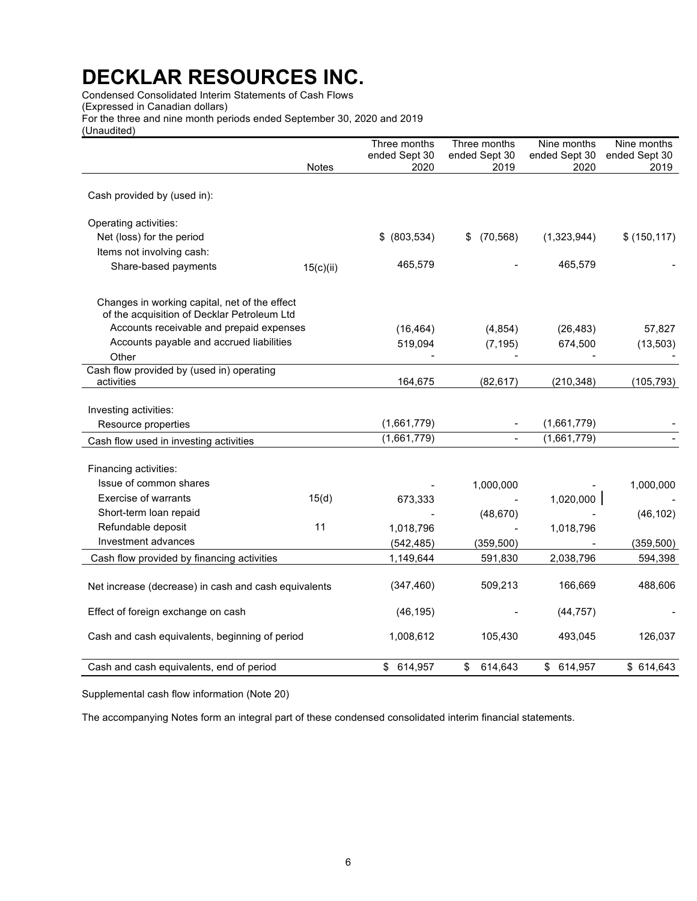Condensed Consolidated Interim Statements of Cash Flows (Expressed in Canadian dollars) For the three and nine month periods ended September 30, 2020 and 2019 (Unaudited)

|                                                                                                                                          |           | Three months          | Three months          | Nine months           | Nine months           |
|------------------------------------------------------------------------------------------------------------------------------------------|-----------|-----------------------|-----------------------|-----------------------|-----------------------|
|                                                                                                                                          | Notes     | ended Sept 30<br>2020 | ended Sept 30<br>2019 | ended Sept 30<br>2020 | ended Sept 30<br>2019 |
|                                                                                                                                          |           |                       |                       |                       |                       |
| Cash provided by (used in):                                                                                                              |           |                       |                       |                       |                       |
| Operating activities:                                                                                                                    |           |                       |                       |                       |                       |
| Net (loss) for the period                                                                                                                |           | \$ (803,534)          | \$ (70, 568)          | (1,323,944)           | \$(150, 117)          |
| Items not involving cash:                                                                                                                |           |                       |                       |                       |                       |
| Share-based payments                                                                                                                     | 15(c)(ii) | 465,579               |                       | 465,579               |                       |
| Changes in working capital, net of the effect<br>of the acquisition of Decklar Petroleum Ltd<br>Accounts receivable and prepaid expenses |           |                       |                       |                       |                       |
|                                                                                                                                          |           | (16, 464)             | (4, 854)              | (26, 483)             | 57,827                |
| Accounts payable and accrued liabilities<br>Other                                                                                        |           | 519,094               | (7, 195)              | 674,500               | (13, 503)             |
| Cash flow provided by (used in) operating                                                                                                |           |                       |                       |                       |                       |
| activities                                                                                                                               |           | 164,675               | (82, 617)             | (210, 348)            | (105, 793)            |
|                                                                                                                                          |           |                       |                       |                       |                       |
| Investing activities:                                                                                                                    |           |                       |                       |                       |                       |
| Resource properties                                                                                                                      |           | (1,661,779)           |                       | (1,661,779)           |                       |
| Cash flow used in investing activities                                                                                                   |           | (1,661,779)           |                       | (1,661,779)           |                       |
| Financing activities:                                                                                                                    |           |                       |                       |                       |                       |
| Issue of common shares                                                                                                                   |           |                       | 1,000,000             |                       | 1,000,000             |
| <b>Exercise of warrants</b>                                                                                                              | 15(d)     | 673,333               |                       | 1,020,000             |                       |
| Short-term loan repaid                                                                                                                   |           |                       | (48, 670)             |                       | (46, 102)             |
| Refundable deposit                                                                                                                       | 11        | 1,018,796             |                       | 1,018,796             |                       |
| Investment advances                                                                                                                      |           | (542, 485)            | (359, 500)            |                       | (359, 500)            |
| Cash flow provided by financing activities                                                                                               |           | 1,149,644             | 591,830               | 2,038,796             | 594,398               |
|                                                                                                                                          |           |                       |                       |                       |                       |
| Net increase (decrease) in cash and cash equivalents                                                                                     |           | (347, 460)            | 509,213               | 166,669               | 488,606               |
| Effect of foreign exchange on cash                                                                                                       |           | (46, 195)             |                       | (44, 757)             |                       |
| Cash and cash equivalents, beginning of period                                                                                           |           | 1,008,612             | 105,430               | 493,045               | 126,037               |
| Cash and cash equivalents, end of period                                                                                                 |           | \$ 614,957            | \$<br>614,643         | \$ 614,957            | \$614,643             |

Supplemental cash flow information (Note 20)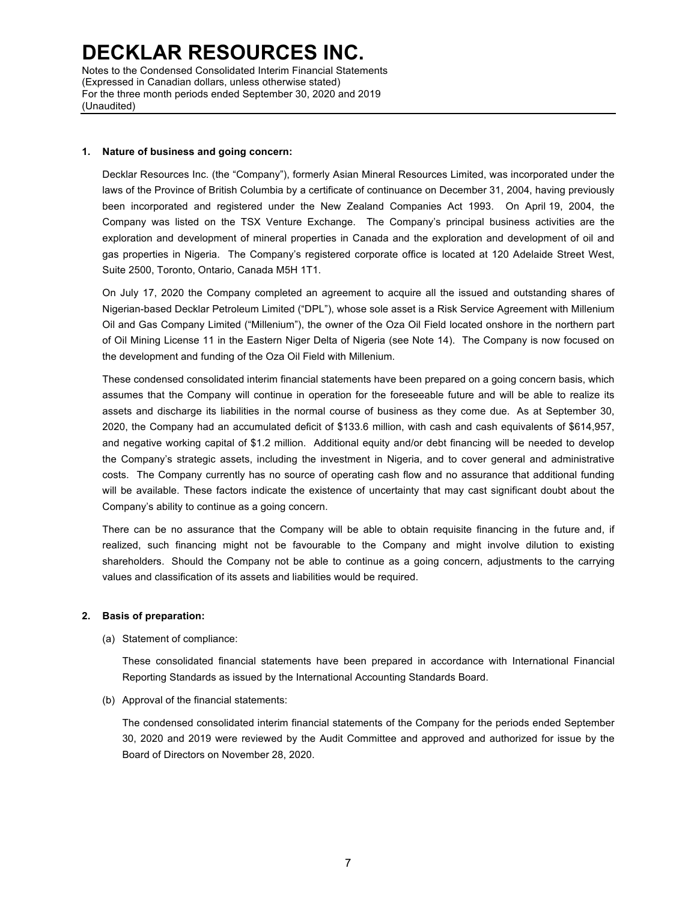Notes to the Condensed Consolidated Interim Financial Statements (Expressed in Canadian dollars, unless otherwise stated) For the three month periods ended September 30, 2020 and 2019 (Unaudited)

#### **1. Nature of business and going concern:**

Decklar Resources Inc. (the "Company"), formerly Asian Mineral Resources Limited, was incorporated under the laws of the Province of British Columbia by a certificate of continuance on December 31, 2004, having previously been incorporated and registered under the New Zealand Companies Act 1993. On April 19, 2004, the Company was listed on the TSX Venture Exchange. The Company's principal business activities are the exploration and development of mineral properties in Canada and the exploration and development of oil and gas properties in Nigeria. The Company's registered corporate office is located at 120 Adelaide Street West, Suite 2500, Toronto, Ontario, Canada M5H 1T1.

On July 17, 2020 the Company completed an agreement to acquire all the issued and outstanding shares of Nigerian-based Decklar Petroleum Limited ("DPL"), whose sole asset is a Risk Service Agreement with Millenium Oil and Gas Company Limited ("Millenium"), the owner of the Oza Oil Field located onshore in the northern part of Oil Mining License 11 in the Eastern Niger Delta of Nigeria (see Note 14). The Company is now focused on the development and funding of the Oza Oil Field with Millenium.

These condensed consolidated interim financial statements have been prepared on a going concern basis, which assumes that the Company will continue in operation for the foreseeable future and will be able to realize its assets and discharge its liabilities in the normal course of business as they come due. As at September 30, 2020, the Company had an accumulated deficit of \$133.6 million, with cash and cash equivalents of \$614,957, and negative working capital of \$1.2 million. Additional equity and/or debt financing will be needed to develop the Company's strategic assets, including the investment in Nigeria, and to cover general and administrative costs. The Company currently has no source of operating cash flow and no assurance that additional funding will be available. These factors indicate the existence of uncertainty that may cast significant doubt about the Company's ability to continue as a going concern.

There can be no assurance that the Company will be able to obtain requisite financing in the future and, if realized, such financing might not be favourable to the Company and might involve dilution to existing shareholders. Should the Company not be able to continue as a going concern, adjustments to the carrying values and classification of its assets and liabilities would be required.

### **2. Basis of preparation:**

(a) Statement of compliance:

These consolidated financial statements have been prepared in accordance with International Financial Reporting Standards as issued by the International Accounting Standards Board.

(b) Approval of the financial statements:

The condensed consolidated interim financial statements of the Company for the periods ended September 30, 2020 and 2019 were reviewed by the Audit Committee and approved and authorized for issue by the Board of Directors on November 28, 2020.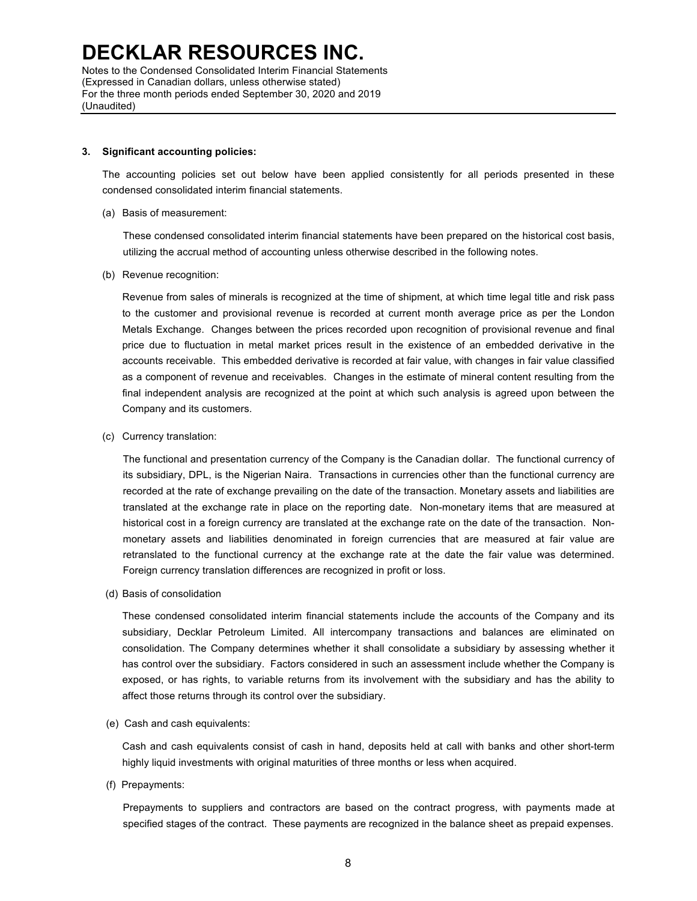#### **3. Significant accounting policies:**

The accounting policies set out below have been applied consistently for all periods presented in these condensed consolidated interim financial statements.

(a) Basis of measurement:

These condensed consolidated interim financial statements have been prepared on the historical cost basis, utilizing the accrual method of accounting unless otherwise described in the following notes.

(b) Revenue recognition:

Revenue from sales of minerals is recognized at the time of shipment, at which time legal title and risk pass to the customer and provisional revenue is recorded at current month average price as per the London Metals Exchange. Changes between the prices recorded upon recognition of provisional revenue and final price due to fluctuation in metal market prices result in the existence of an embedded derivative in the accounts receivable. This embedded derivative is recorded at fair value, with changes in fair value classified as a component of revenue and receivables. Changes in the estimate of mineral content resulting from the final independent analysis are recognized at the point at which such analysis is agreed upon between the Company and its customers.

(c) Currency translation:

The functional and presentation currency of the Company is the Canadian dollar. The functional currency of its subsidiary, DPL, is the Nigerian Naira. Transactions in currencies other than the functional currency are recorded at the rate of exchange prevailing on the date of the transaction. Monetary assets and liabilities are translated at the exchange rate in place on the reporting date. Non-monetary items that are measured at historical cost in a foreign currency are translated at the exchange rate on the date of the transaction. Nonmonetary assets and liabilities denominated in foreign currencies that are measured at fair value are retranslated to the functional currency at the exchange rate at the date the fair value was determined. Foreign currency translation differences are recognized in profit or loss.

(d) Basis of consolidation

These condensed consolidated interim financial statements include the accounts of the Company and its subsidiary, Decklar Petroleum Limited. All intercompany transactions and balances are eliminated on consolidation. The Company determines whether it shall consolidate a subsidiary by assessing whether it has control over the subsidiary. Factors considered in such an assessment include whether the Company is exposed, or has rights, to variable returns from its involvement with the subsidiary and has the ability to affect those returns through its control over the subsidiary.

(e) Cash and cash equivalents:

Cash and cash equivalents consist of cash in hand, deposits held at call with banks and other short-term highly liquid investments with original maturities of three months or less when acquired.

(f) Prepayments:

Prepayments to suppliers and contractors are based on the contract progress, with payments made at specified stages of the contract. These payments are recognized in the balance sheet as prepaid expenses.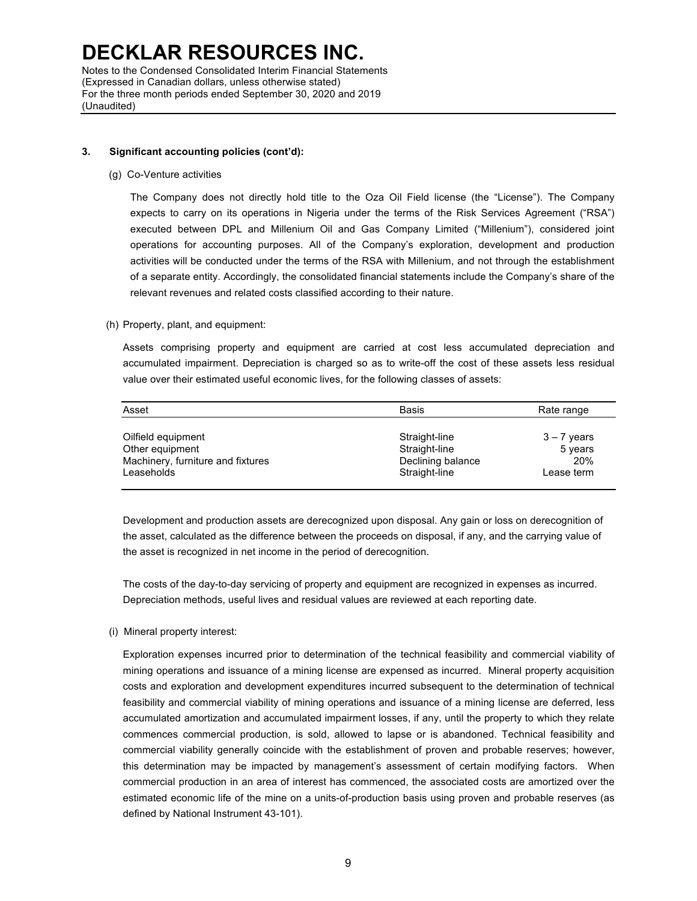#### **3. Significant accounting policies (cont'd):**

(g) Co-Venture activities

The Company does not directly hold title to the Oza Oil Field license (the "License"). The Company expects to carry on its operations in Nigeria under the terms of the Risk Services Agreement ("RSA") executed between DPL and Millenium Oil and Gas Company Limited ("Millenium"), considered joint operations for accounting purposes. All of the Company's exploration, development and production activities will be conducted under the terms of the RSA with Millenium, and not through the establishment of a separate entity. Accordingly, the consolidated financial statements include the Company's share of the relevant revenues and related costs classified according to their nature.

#### (h) Property, plant, and equipment:

Assets comprising property and equipment are carried at cost less accumulated depreciation and accumulated impairment. Depreciation is charged so as to write-off the cost of these assets less residual value over their estimated useful economic lives, for the following classes of assets:

| Straight-line<br>$3 - 7$ years<br>Straight-line<br>5 years<br>20%<br>Declining balance<br>Straight-line<br>Lease term |
|-----------------------------------------------------------------------------------------------------------------------|
|                                                                                                                       |

Development and production assets are derecognized upon disposal. Any gain or loss on derecognition of the asset, calculated as the difference between the proceeds on disposal, if any, and the carrying value of the asset is recognized in net income in the period of derecognition.

The costs of the day-to-day servicing of property and equipment are recognized in expenses as incurred. Depreciation methods, useful lives and residual values are reviewed at each reporting date.

#### (i) Mineral property interest:

Exploration expenses incurred prior to determination of the technical feasibility and commercial viability of mining operations and issuance of a mining license are expensed as incurred. Mineral property acquisition costs and exploration and development expenditures incurred subsequent to the determination of technical feasibility and commercial viability of mining operations and issuance of a mining license are deferred, less accumulated amortization and accumulated impairment losses, if any, until the property to which they relate commences commercial production, is sold, allowed to lapse or is abandoned. Technical feasibility and commercial viability generally coincide with the establishment of proven and probable reserves; however, this determination may be impacted by management's assessment of certain modifying factors. When commercial production in an area of interest has commenced, the associated costs are amortized over the estimated economic life of the mine on a units-of-production basis using proven and probable reserves (as defined by National Instrument 43-101).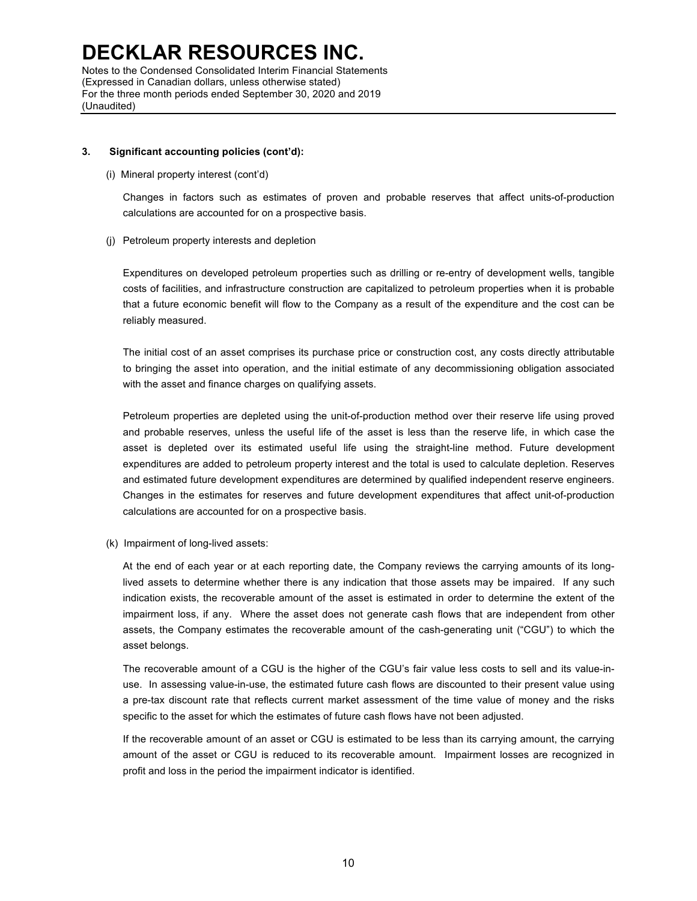#### **3. Significant accounting policies (cont'd):**

(i) Mineral property interest (cont'd)

(Unaudited)

Changes in factors such as estimates of proven and probable reserves that affect units-of-production calculations are accounted for on a prospective basis.

(j) Petroleum property interests and depletion

Expenditures on developed petroleum properties such as drilling or re-entry of development wells, tangible costs of facilities, and infrastructure construction are capitalized to petroleum properties when it is probable that a future economic benefit will flow to the Company as a result of the expenditure and the cost can be reliably measured.

The initial cost of an asset comprises its purchase price or construction cost, any costs directly attributable to bringing the asset into operation, and the initial estimate of any decommissioning obligation associated with the asset and finance charges on qualifying assets.

Petroleum properties are depleted using the unit-of-production method over their reserve life using proved and probable reserves, unless the useful life of the asset is less than the reserve life, in which case the asset is depleted over its estimated useful life using the straight-line method. Future development expenditures are added to petroleum property interest and the total is used to calculate depletion. Reserves and estimated future development expenditures are determined by qualified independent reserve engineers. Changes in the estimates for reserves and future development expenditures that affect unit-of-production calculations are accounted for on a prospective basis.

(k) Impairment of long-lived assets:

At the end of each year or at each reporting date, the Company reviews the carrying amounts of its longlived assets to determine whether there is any indication that those assets may be impaired. If any such indication exists, the recoverable amount of the asset is estimated in order to determine the extent of the impairment loss, if any. Where the asset does not generate cash flows that are independent from other assets, the Company estimates the recoverable amount of the cash-generating unit ("CGU") to which the asset belongs.

The recoverable amount of a CGU is the higher of the CGU's fair value less costs to sell and its value-inuse. In assessing value-in-use, the estimated future cash flows are discounted to their present value using a pre-tax discount rate that reflects current market assessment of the time value of money and the risks specific to the asset for which the estimates of future cash flows have not been adjusted.

If the recoverable amount of an asset or CGU is estimated to be less than its carrying amount, the carrying amount of the asset or CGU is reduced to its recoverable amount. Impairment losses are recognized in profit and loss in the period the impairment indicator is identified.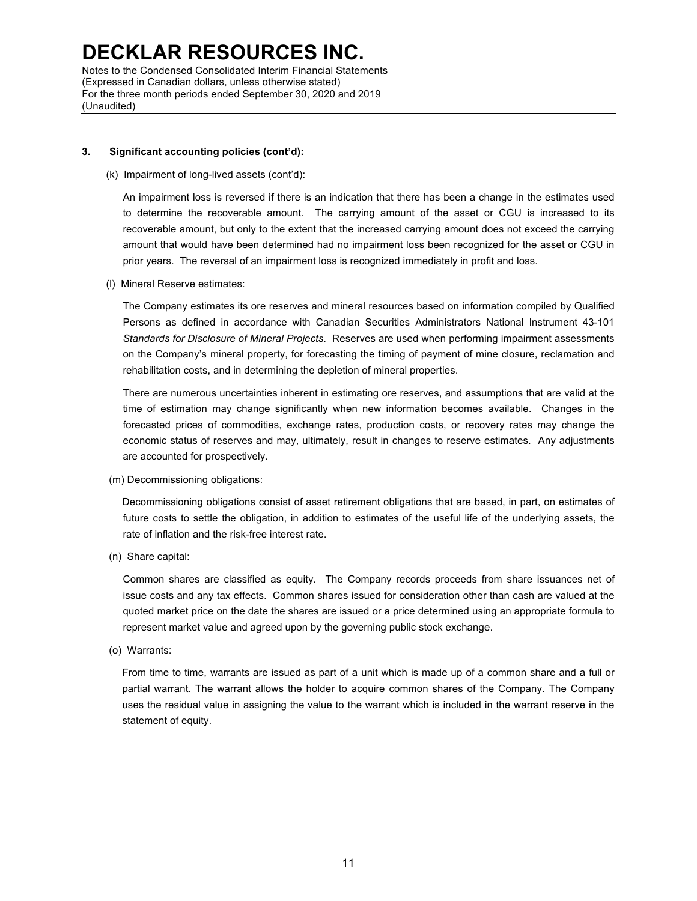Notes to the Condensed Consolidated Interim Financial Statements (Expressed in Canadian dollars, unless otherwise stated) For the three month periods ended September 30, 2020 and 2019 (Unaudited)

#### **3. Significant accounting policies (cont'd):**

#### (k) Impairment of long-lived assets (cont'd):

An impairment loss is reversed if there is an indication that there has been a change in the estimates used to determine the recoverable amount. The carrying amount of the asset or CGU is increased to its recoverable amount, but only to the extent that the increased carrying amount does not exceed the carrying amount that would have been determined had no impairment loss been recognized for the asset or CGU in prior years. The reversal of an impairment loss is recognized immediately in profit and loss.

#### (l) Mineral Reserve estimates:

The Company estimates its ore reserves and mineral resources based on information compiled by Qualified Persons as defined in accordance with Canadian Securities Administrators National Instrument 43-101 *Standards for Disclosure of Mineral Projects*. Reserves are used when performing impairment assessments on the Company's mineral property, for forecasting the timing of payment of mine closure, reclamation and rehabilitation costs, and in determining the depletion of mineral properties.

There are numerous uncertainties inherent in estimating ore reserves, and assumptions that are valid at the time of estimation may change significantly when new information becomes available. Changes in the forecasted prices of commodities, exchange rates, production costs, or recovery rates may change the economic status of reserves and may, ultimately, result in changes to reserve estimates. Any adjustments are accounted for prospectively.

(m) Decommissioning obligations:

Decommissioning obligations consist of asset retirement obligations that are based, in part, on estimates of future costs to settle the obligation, in addition to estimates of the useful life of the underlying assets, the rate of inflation and the risk-free interest rate.

(n) Share capital:

Common shares are classified as equity. The Company records proceeds from share issuances net of issue costs and any tax effects. Common shares issued for consideration other than cash are valued at the quoted market price on the date the shares are issued or a price determined using an appropriate formula to represent market value and agreed upon by the governing public stock exchange.

(o) Warrants:

From time to time, warrants are issued as part of a unit which is made up of a common share and a full or partial warrant. The warrant allows the holder to acquire common shares of the Company. The Company uses the residual value in assigning the value to the warrant which is included in the warrant reserve in the statement of equity.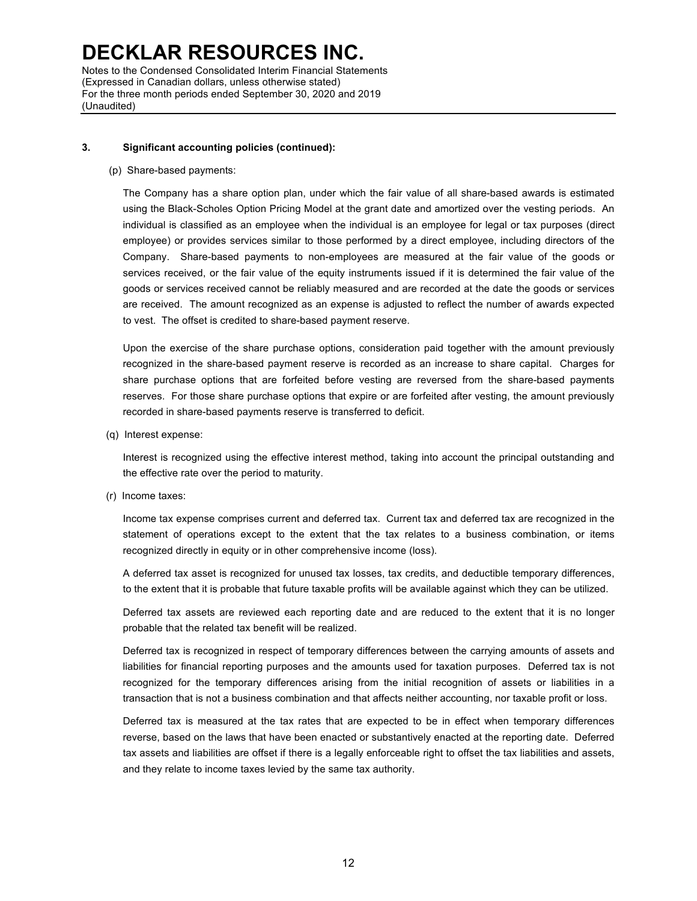Notes to the Condensed Consolidated Interim Financial Statements (Expressed in Canadian dollars, unless otherwise stated) For the three month periods ended September 30, 2020 and 2019 (Unaudited)

#### **3. Significant accounting policies (continued):**

(p) Share-based payments:

The Company has a share option plan, under which the fair value of all share-based awards is estimated using the Black-Scholes Option Pricing Model at the grant date and amortized over the vesting periods. An individual is classified as an employee when the individual is an employee for legal or tax purposes (direct employee) or provides services similar to those performed by a direct employee, including directors of the Company. Share-based payments to non-employees are measured at the fair value of the goods or services received, or the fair value of the equity instruments issued if it is determined the fair value of the goods or services received cannot be reliably measured and are recorded at the date the goods or services are received. The amount recognized as an expense is adjusted to reflect the number of awards expected to vest. The offset is credited to share-based payment reserve.

Upon the exercise of the share purchase options, consideration paid together with the amount previously recognized in the share-based payment reserve is recorded as an increase to share capital. Charges for share purchase options that are forfeited before vesting are reversed from the share-based payments reserves. For those share purchase options that expire or are forfeited after vesting, the amount previously recorded in share-based payments reserve is transferred to deficit.

(q) Interest expense:

Interest is recognized using the effective interest method, taking into account the principal outstanding and the effective rate over the period to maturity.

(r) Income taxes:

Income tax expense comprises current and deferred tax. Current tax and deferred tax are recognized in the statement of operations except to the extent that the tax relates to a business combination, or items recognized directly in equity or in other comprehensive income (loss).

A deferred tax asset is recognized for unused tax losses, tax credits, and deductible temporary differences, to the extent that it is probable that future taxable profits will be available against which they can be utilized.

Deferred tax assets are reviewed each reporting date and are reduced to the extent that it is no longer probable that the related tax benefit will be realized.

Deferred tax is recognized in respect of temporary differences between the carrying amounts of assets and liabilities for financial reporting purposes and the amounts used for taxation purposes. Deferred tax is not recognized for the temporary differences arising from the initial recognition of assets or liabilities in a transaction that is not a business combination and that affects neither accounting, nor taxable profit or loss.

Deferred tax is measured at the tax rates that are expected to be in effect when temporary differences reverse, based on the laws that have been enacted or substantively enacted at the reporting date. Deferred tax assets and liabilities are offset if there is a legally enforceable right to offset the tax liabilities and assets, and they relate to income taxes levied by the same tax authority.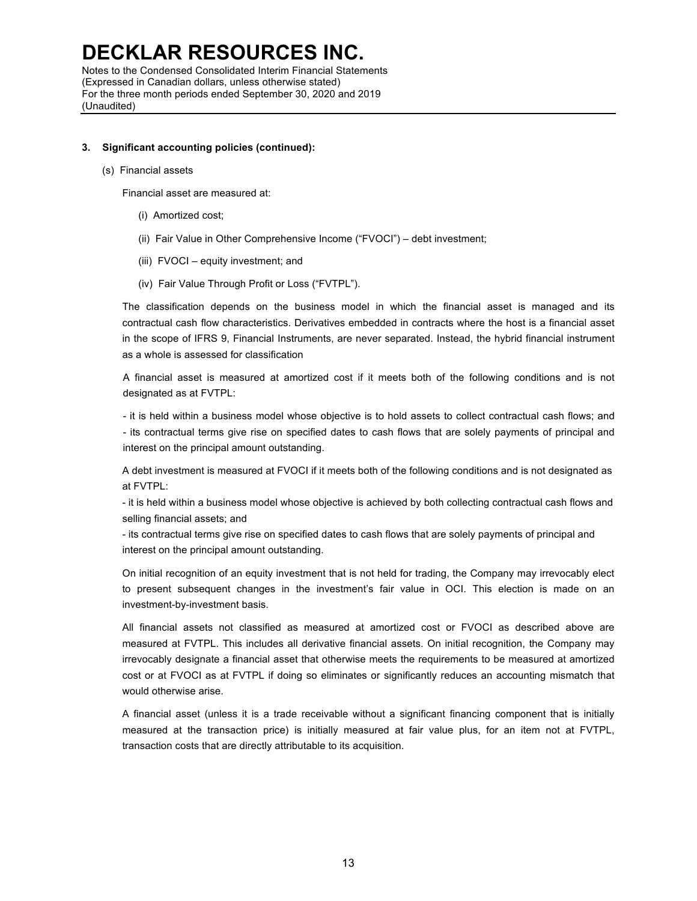Notes to the Condensed Consolidated Interim Financial Statements (Expressed in Canadian dollars, unless otherwise stated) For the three month periods ended September 30, 2020 and 2019 (Unaudited)

#### **3. Significant accounting policies (continued):**

(s) Financial assets

Financial asset are measured at:

- (i) Amortized cost;
- (ii) Fair Value in Other Comprehensive Income ("FVOCI") debt investment;
- (iii) FVOCI equity investment; and
- (iv) Fair Value Through Profit or Loss ("FVTPL").

The classification depends on the business model in which the financial asset is managed and its contractual cash flow characteristics. Derivatives embedded in contracts where the host is a financial asset in the scope of IFRS 9, Financial Instruments, are never separated. Instead, the hybrid financial instrument as a whole is assessed for classification

A financial asset is measured at amortized cost if it meets both of the following conditions and is not designated as at FVTPL:

- it is held within a business model whose objective is to hold assets to collect contractual cash flows; and - its contractual terms give rise on specified dates to cash flows that are solely payments of principal and interest on the principal amount outstanding.

A debt investment is measured at FVOCI if it meets both of the following conditions and is not designated as at FVTPL:

- it is held within a business model whose objective is achieved by both collecting contractual cash flows and selling financial assets; and

- its contractual terms give rise on specified dates to cash flows that are solely payments of principal and interest on the principal amount outstanding.

On initial recognition of an equity investment that is not held for trading, the Company may irrevocably elect to present subsequent changes in the investment's fair value in OCI. This election is made on an investment-by-investment basis.

All financial assets not classified as measured at amortized cost or FVOCI as described above are measured at FVTPL. This includes all derivative financial assets. On initial recognition, the Company may irrevocably designate a financial asset that otherwise meets the requirements to be measured at amortized cost or at FVOCI as at FVTPL if doing so eliminates or significantly reduces an accounting mismatch that would otherwise arise.

A financial asset (unless it is a trade receivable without a significant financing component that is initially measured at the transaction price) is initially measured at fair value plus, for an item not at FVTPL, transaction costs that are directly attributable to its acquisition.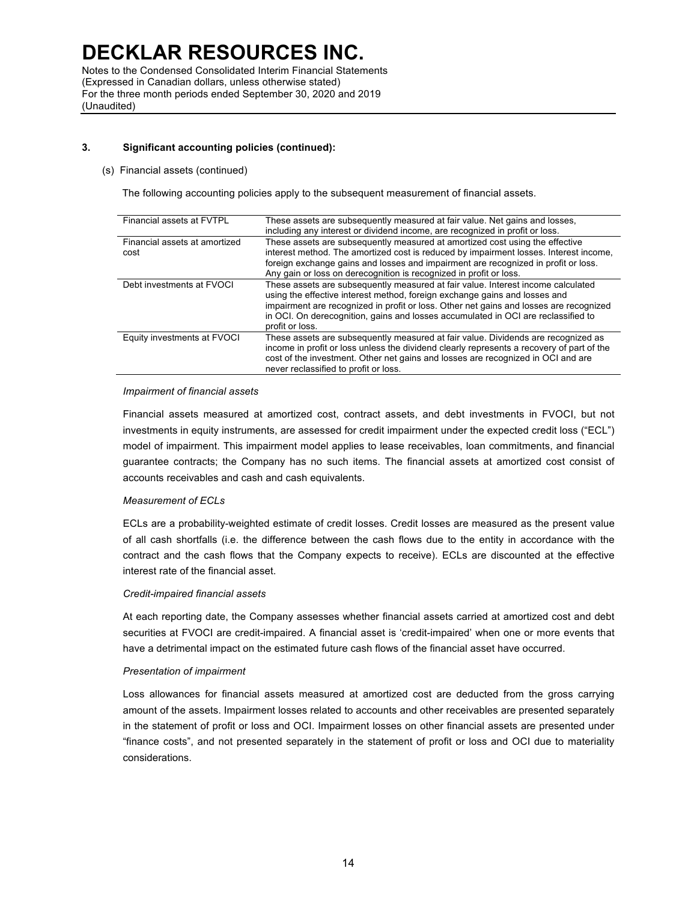Notes to the Condensed Consolidated Interim Financial Statements (Expressed in Canadian dollars, unless otherwise stated) For the three month periods ended September 30, 2020 and 2019 (Unaudited)

### **3. Significant accounting policies (continued):**

#### (s) Financial assets (continued)

The following accounting policies apply to the subsequent measurement of financial assets.

| Financial assets at FVTPL             | These assets are subsequently measured at fair value. Net gains and losses,<br>including any interest or dividend income, are recognized in profit or loss.                                                                                                                                                                                                      |
|---------------------------------------|------------------------------------------------------------------------------------------------------------------------------------------------------------------------------------------------------------------------------------------------------------------------------------------------------------------------------------------------------------------|
| Financial assets at amortized<br>cost | These assets are subsequently measured at amortized cost using the effective<br>interest method. The amortized cost is reduced by impairment losses. Interest income,<br>foreign exchange gains and losses and impairment are recognized in profit or loss.<br>Any gain or loss on derecognition is recognized in profit or loss.                                |
| Debt investments at FVOCI             | These assets are subsequently measured at fair value. Interest income calculated<br>using the effective interest method, foreign exchange gains and losses and<br>impairment are recognized in profit or loss. Other net gains and losses are recognized<br>in OCI. On derecognition, gains and losses accumulated in OCI are reclassified to<br>profit or loss. |
| Equity investments at FVOCI           | These assets are subsequently measured at fair value. Dividends are recognized as<br>income in profit or loss unless the dividend clearly represents a recovery of part of the<br>cost of the investment. Other net gains and losses are recognized in OCI and are<br>never reclassified to profit or loss.                                                      |

#### *Impairment of financial assets*

Financial assets measured at amortized cost, contract assets, and debt investments in FVOCI, but not investments in equity instruments, are assessed for credit impairment under the expected credit loss ("ECL") model of impairment. This impairment model applies to lease receivables, loan commitments, and financial guarantee contracts; the Company has no such items. The financial assets at amortized cost consist of accounts receivables and cash and cash equivalents.

### *Measurement of ECLs*

ECLs are a probability-weighted estimate of credit losses. Credit losses are measured as the present value of all cash shortfalls (i.e. the difference between the cash flows due to the entity in accordance with the contract and the cash flows that the Company expects to receive). ECLs are discounted at the effective interest rate of the financial asset.

#### *Credit-impaired financial assets*

At each reporting date, the Company assesses whether financial assets carried at amortized cost and debt securities at FVOCI are credit-impaired. A financial asset is 'credit-impaired' when one or more events that have a detrimental impact on the estimated future cash flows of the financial asset have occurred.

#### *Presentation of impairment*

Loss allowances for financial assets measured at amortized cost are deducted from the gross carrying amount of the assets. Impairment losses related to accounts and other receivables are presented separately in the statement of profit or loss and OCI. Impairment losses on other financial assets are presented under "finance costs", and not presented separately in the statement of profit or loss and OCI due to materiality considerations.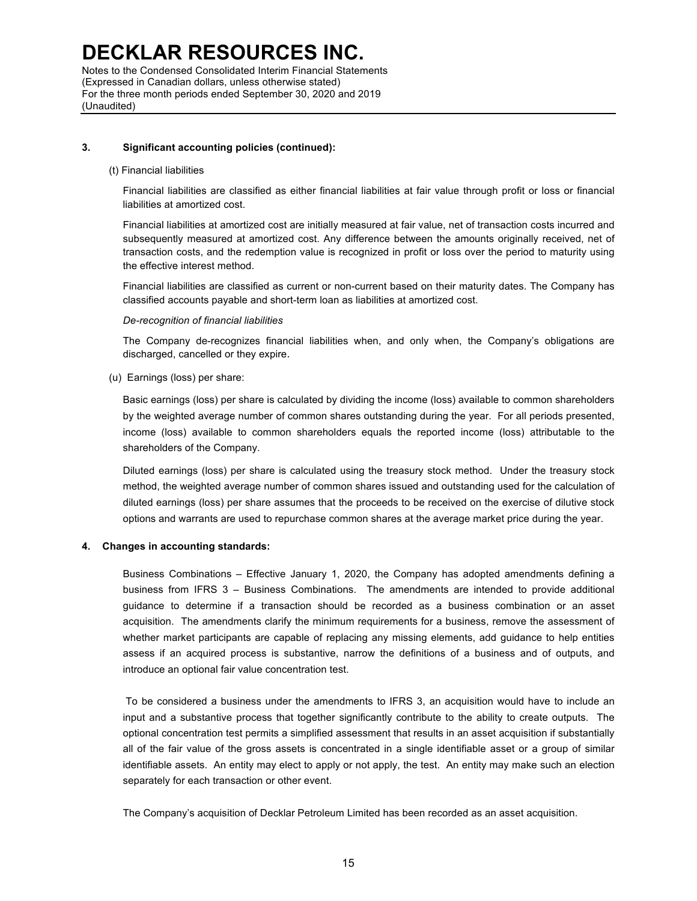Notes to the Condensed Consolidated Interim Financial Statements (Expressed in Canadian dollars, unless otherwise stated) For the three month periods ended September 30, 2020 and 2019 (Unaudited)

#### **3. Significant accounting policies (continued):**

#### (t) Financial liabilities

Financial liabilities are classified as either financial liabilities at fair value through profit or loss or financial liabilities at amortized cost.

Financial liabilities at amortized cost are initially measured at fair value, net of transaction costs incurred and subsequently measured at amortized cost. Any difference between the amounts originally received, net of transaction costs, and the redemption value is recognized in profit or loss over the period to maturity using the effective interest method.

Financial liabilities are classified as current or non-current based on their maturity dates. The Company has classified accounts payable and short-term loan as liabilities at amortized cost.

#### *De-recognition of financial liabilities*

The Company de-recognizes financial liabilities when, and only when, the Company's obligations are discharged, cancelled or they expire.

(u) Earnings (loss) per share:

Basic earnings (loss) per share is calculated by dividing the income (loss) available to common shareholders by the weighted average number of common shares outstanding during the year. For all periods presented, income (loss) available to common shareholders equals the reported income (loss) attributable to the shareholders of the Company.

Diluted earnings (loss) per share is calculated using the treasury stock method. Under the treasury stock method, the weighted average number of common shares issued and outstanding used for the calculation of diluted earnings (loss) per share assumes that the proceeds to be received on the exercise of dilutive stock options and warrants are used to repurchase common shares at the average market price during the year.

#### **4. Changes in accounting standards:**

Business Combinations – Effective January 1, 2020, the Company has adopted amendments defining a business from IFRS 3 – Business Combinations. The amendments are intended to provide additional guidance to determine if a transaction should be recorded as a business combination or an asset acquisition. The amendments clarify the minimum requirements for a business, remove the assessment of whether market participants are capable of replacing any missing elements, add guidance to help entities assess if an acquired process is substantive, narrow the definitions of a business and of outputs, and introduce an optional fair value concentration test.

To be considered a business under the amendments to IFRS 3, an acquisition would have to include an input and a substantive process that together significantly contribute to the ability to create outputs. The optional concentration test permits a simplified assessment that results in an asset acquisition if substantially all of the fair value of the gross assets is concentrated in a single identifiable asset or a group of similar identifiable assets. An entity may elect to apply or not apply, the test. An entity may make such an election separately for each transaction or other event.

The Company's acquisition of Decklar Petroleum Limited has been recorded as an asset acquisition.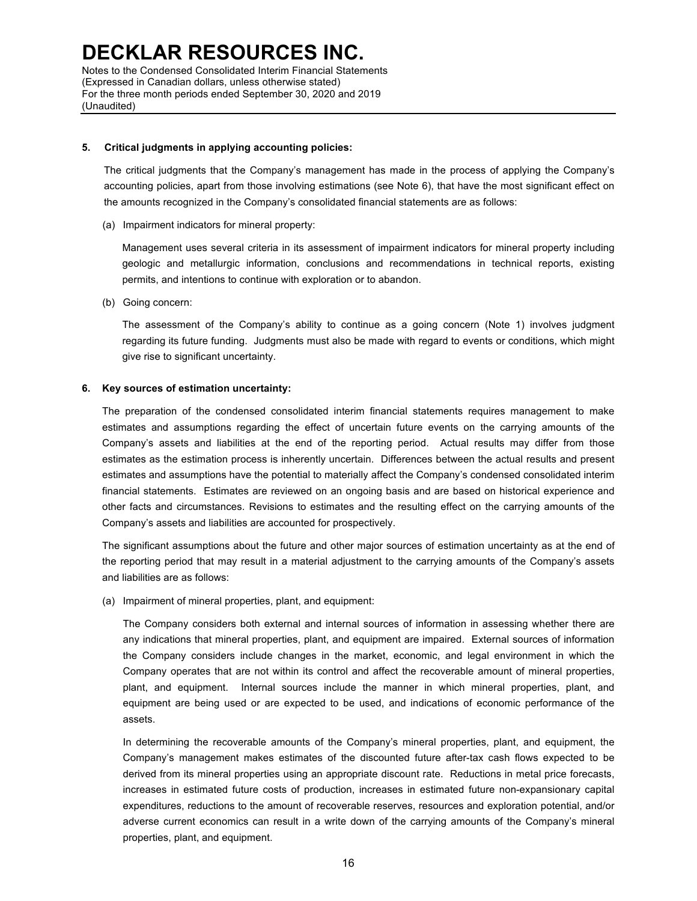Notes to the Condensed Consolidated Interim Financial Statements (Expressed in Canadian dollars, unless otherwise stated) For the three month periods ended September 30, 2020 and 2019 (Unaudited)

#### **5. Critical judgments in applying accounting policies:**

The critical judgments that the Company's management has made in the process of applying the Company's accounting policies, apart from those involving estimations (see Note 6), that have the most significant effect on the amounts recognized in the Company's consolidated financial statements are as follows:

(a) Impairment indicators for mineral property:

Management uses several criteria in its assessment of impairment indicators for mineral property including geologic and metallurgic information, conclusions and recommendations in technical reports, existing permits, and intentions to continue with exploration or to abandon.

(b) Going concern:

The assessment of the Company's ability to continue as a going concern (Note 1) involves judgment regarding its future funding. Judgments must also be made with regard to events or conditions, which might give rise to significant uncertainty.

#### **6. Key sources of estimation uncertainty:**

The preparation of the condensed consolidated interim financial statements requires management to make estimates and assumptions regarding the effect of uncertain future events on the carrying amounts of the Company's assets and liabilities at the end of the reporting period. Actual results may differ from those estimates as the estimation process is inherently uncertain. Differences between the actual results and present estimates and assumptions have the potential to materially affect the Company's condensed consolidated interim financial statements. Estimates are reviewed on an ongoing basis and are based on historical experience and other facts and circumstances. Revisions to estimates and the resulting effect on the carrying amounts of the Company's assets and liabilities are accounted for prospectively.

The significant assumptions about the future and other major sources of estimation uncertainty as at the end of the reporting period that may result in a material adjustment to the carrying amounts of the Company's assets and liabilities are as follows:

(a) Impairment of mineral properties, plant, and equipment:

The Company considers both external and internal sources of information in assessing whether there are any indications that mineral properties, plant, and equipment are impaired. External sources of information the Company considers include changes in the market, economic, and legal environment in which the Company operates that are not within its control and affect the recoverable amount of mineral properties, plant, and equipment. Internal sources include the manner in which mineral properties, plant, and equipment are being used or are expected to be used, and indications of economic performance of the assets.

In determining the recoverable amounts of the Company's mineral properties, plant, and equipment, the Company's management makes estimates of the discounted future after-tax cash flows expected to be derived from its mineral properties using an appropriate discount rate. Reductions in metal price forecasts, increases in estimated future costs of production, increases in estimated future non-expansionary capital expenditures, reductions to the amount of recoverable reserves, resources and exploration potential, and/or adverse current economics can result in a write down of the carrying amounts of the Company's mineral properties, plant, and equipment.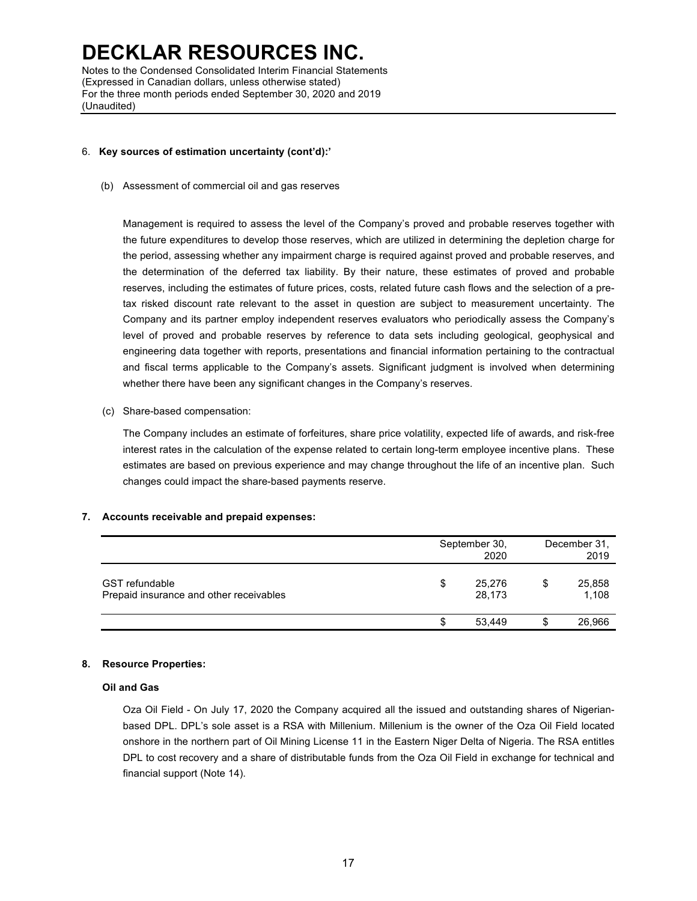Notes to the Condensed Consolidated Interim Financial Statements (Expressed in Canadian dollars, unless otherwise stated) For the three month periods ended September 30, 2020 and 2019 (Unaudited)

#### 6. **Key sources of estimation uncertainty (cont'd):'**

(b) Assessment of commercial oil and gas reserves

Management is required to assess the level of the Company's proved and probable reserves together with the future expenditures to develop those reserves, which are utilized in determining the depletion charge for the period, assessing whether any impairment charge is required against proved and probable reserves, and the determination of the deferred tax liability. By their nature, these estimates of proved and probable reserves, including the estimates of future prices, costs, related future cash flows and the selection of a pretax risked discount rate relevant to the asset in question are subject to measurement uncertainty. The Company and its partner employ independent reserves evaluators who periodically assess the Company's level of proved and probable reserves by reference to data sets including geological, geophysical and engineering data together with reports, presentations and financial information pertaining to the contractual and fiscal terms applicable to the Company's assets. Significant judgment is involved when determining whether there have been any significant changes in the Company's reserves.

(c) Share-based compensation:

The Company includes an estimate of forfeitures, share price volatility, expected life of awards, and risk-free interest rates in the calculation of the expense related to certain long-term employee incentive plans. These estimates are based on previous experience and may change throughout the life of an incentive plan. Such changes could impact the share-based payments reserve.

### **7. Accounts receivable and prepaid expenses:**

|                                                                  |   | September 30,<br>2020 | December 31,<br>2019 |
|------------------------------------------------------------------|---|-----------------------|----------------------|
| <b>GST</b> refundable<br>Prepaid insurance and other receivables | S | 25,276<br>28,173      | 25,858<br>1,108      |
|                                                                  | S | 53,449                | 26,966               |

### **8. Resource Properties:**

#### **Oil and Gas**

Oza Oil Field - On July 17, 2020 the Company acquired all the issued and outstanding shares of Nigerianbased DPL. DPL's sole asset is a RSA with Millenium. Millenium is the owner of the Oza Oil Field located onshore in the northern part of Oil Mining License 11 in the Eastern Niger Delta of Nigeria. The RSA entitles DPL to cost recovery and a share of distributable funds from the Oza Oil Field in exchange for technical and financial support (Note 14).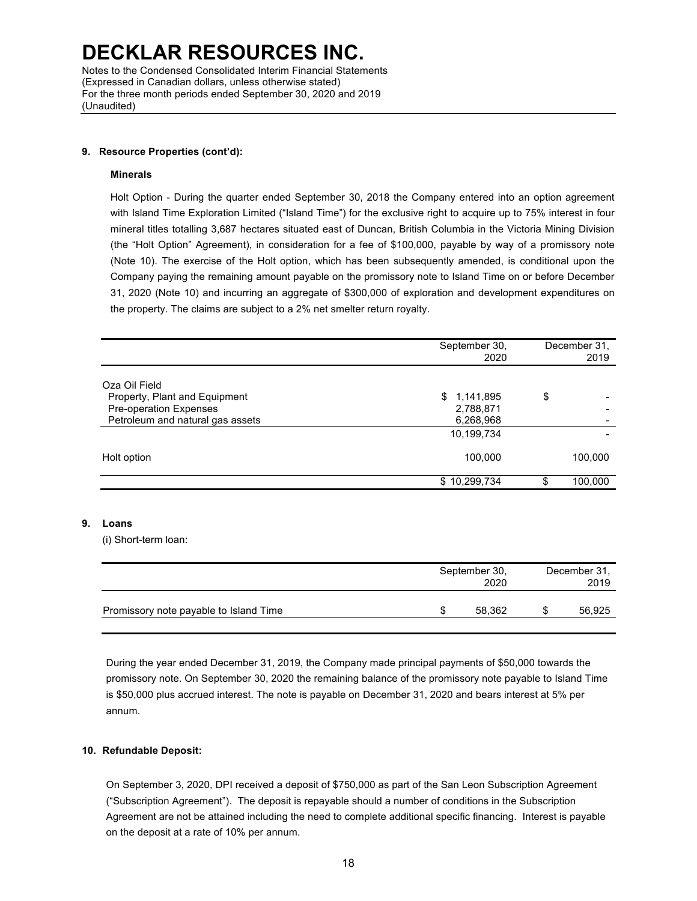Notes to the Condensed Consolidated Interim Financial Statements (Expressed in Canadian dollars, unless otherwise stated) For the three month periods ended September 30, 2020 and 2019 (Unaudited)

#### **9. Resource Properties (cont'd):**

#### **Minerals**

Holt Option - During the quarter ended September 30, 2018 the Company entered into an option agreement with Island Time Exploration Limited ("Island Time") for the exclusive right to acquire up to 75% interest in four mineral titles totalling 3,687 hectares situated east of Duncan, British Columbia in the Victoria Mining Division (the "Holt Option" Agreement), in consideration for a fee of \$100,000, payable by way of a promissory note (Note 10). The exercise of the Holt option, which has been subsequently amended, is conditional upon the Company paying the remaining amount payable on the promissory note to Island Time on or before December 31, 2020 (Note 10) and incurring an aggregate of \$300,000 of exploration and development expenditures on the property. The claims are subject to a 2% net smelter return royalty.

|                                  | September 30,<br>2020 | December 31,<br>2019 |
|----------------------------------|-----------------------|----------------------|
| Oza Oil Field                    |                       |                      |
| Property, Plant and Equipment    | \$1,141,895           | \$                   |
| Pre-operation Expenses           | 2,788,871             |                      |
| Petroleum and natural gas assets | 6,268,968             |                      |
|                                  | 10,199,734            |                      |
| Holt option                      | 100,000               | 100,000              |
|                                  | \$10,299,734          | \$<br>100,000        |

### **9. Loans**

(i) Short-term loan:

|                                        | September 30,<br>2020 | December 31,<br>2019 |        |  |
|----------------------------------------|-----------------------|----------------------|--------|--|
| Promissory note payable to Island Time | 58.362                |                      | 56,925 |  |

During the year ended December 31, 2019, the Company made principal payments of \$50,000 towards the promissory note. On September 30, 2020 the remaining balance of the promissory note payable to Island Time is \$50,000 plus accrued interest. The note is payable on December 31, 2020 and bears interest at 5% per annum.

### **10. Refundable Deposit:**

On September 3, 2020, DPI received a deposit of \$750,000 as part of the San Leon Subscription Agreement ("Subscription Agreement"). The deposit is repayable should a number of conditions in the Subscription Agreement are not be attained including the need to complete additional specific financing. Interest is payable on the deposit at a rate of 10% per annum.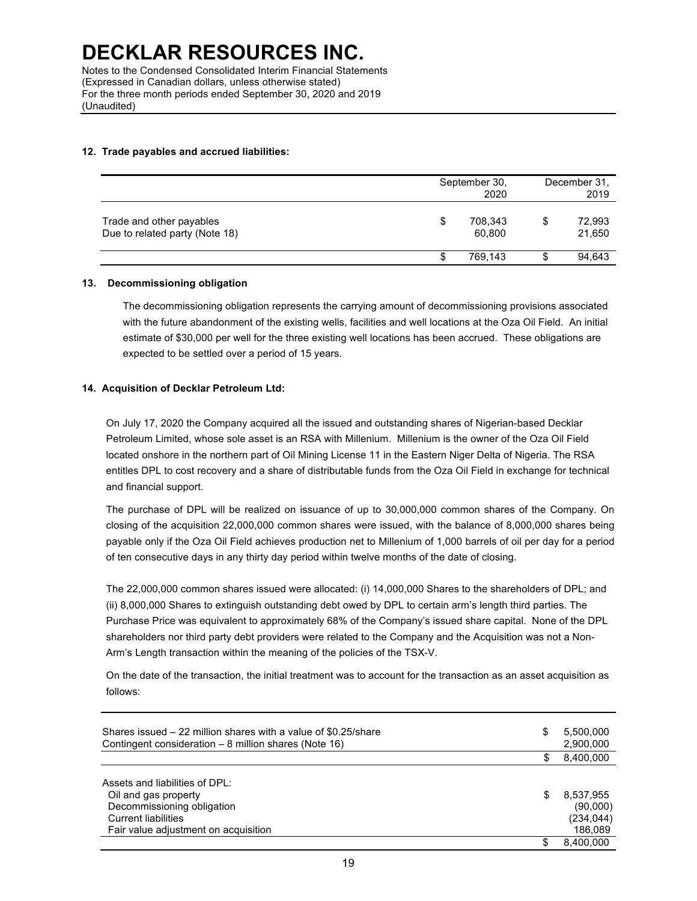#### **12. Trade payables and accrued liabilities:**

|                                                            |    | September 30,<br>2020 | December 31.<br>2019   |  |
|------------------------------------------------------------|----|-----------------------|------------------------|--|
| Trade and other payables<br>Due to related party (Note 18) | \$ | 708,343<br>60.800     | \$<br>72,993<br>21,650 |  |
|                                                            | ъ  | 769,143               | \$<br>94,643           |  |

#### **13. Decommissioning obligation**

The decommissioning obligation represents the carrying amount of decommissioning provisions associated with the future abandonment of the existing wells, facilities and well locations at the Oza Oil Field. An initial estimate of \$30,000 per well for the three existing well locations has been accrued. These obligations are expected to be settled over a period of 15 years.

#### **14. Acquisition of Decklar Petroleum Ltd:**

On July 17, 2020 the Company acquired all the issued and outstanding shares of Nigerian-based Decklar Petroleum Limited, whose sole asset is an RSA with Millenium. Millenium is the owner of the Oza Oil Field located onshore in the northern part of Oil Mining License 11 in the Eastern Niger Delta of Nigeria. The RSA entitles DPL to cost recovery and a share of distributable funds from the Oza Oil Field in exchange for technical and financial support.

The purchase of DPL will be realized on issuance of up to 30,000,000 common shares of the Company. On closing of the acquisition 22,000,000 common shares were issued, with the balance of 8,000,000 shares being payable only if the Oza Oil Field achieves production net to Millenium of 1,000 barrels of oil per day for a period of ten consecutive days in any thirty day period within twelve months of the date of closing.

The 22,000,000 common shares issued were allocated: (i) 14,000,000 Shares to the shareholders of DPL; and (ii) 8,000,000 Shares to extinguish outstanding debt owed by DPL to certain arm's length third parties. The Purchase Price was equivalent to approximately 68% of the Company's issued share capital. None of the DPL shareholders nor third party debt providers were related to the Company and the Acquisition was not a Non-Arm's Length transaction within the meaning of the policies of the TSX-V.

On the date of the transaction, the initial treatment was to account for the transaction as an asset acquisition as follows:

| Shares issued – 22 million shares with a value of \$0.25/share<br>Contingent consideration – 8 million shares (Note 16)                                    | \$<br>5,500,000<br>2,900,000                         |
|------------------------------------------------------------------------------------------------------------------------------------------------------------|------------------------------------------------------|
|                                                                                                                                                            | 8,400,000                                            |
| Assets and liabilities of DPL:<br>Oil and gas property<br>Decommissioning obligation<br><b>Current liabilities</b><br>Fair value adjustment on acquisition | \$<br>8,537,955<br>(90,000)<br>(234, 044)<br>186.089 |
|                                                                                                                                                            | 8.400.000                                            |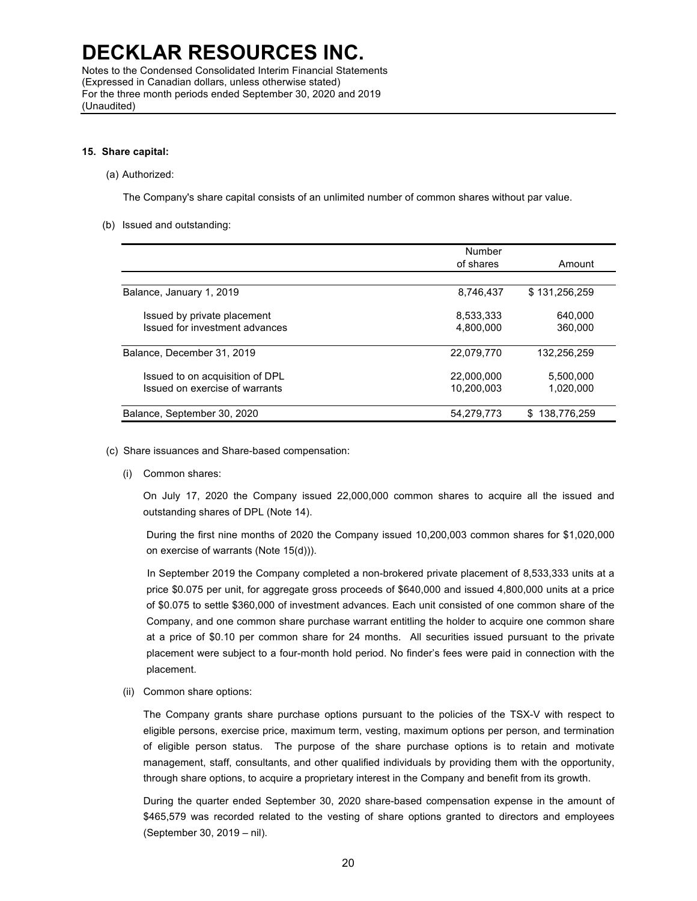Notes to the Condensed Consolidated Interim Financial Statements (Expressed in Canadian dollars, unless otherwise stated) For the three month periods ended September 30, 2020 and 2019 (Unaudited)

#### **15. Share capital:**

(a) Authorized:

The Company's share capital consists of an unlimited number of common shares without par value.

(b) Issued and outstanding:

|                                 | Number     |               |
|---------------------------------|------------|---------------|
|                                 | of shares  | Amount        |
|                                 |            |               |
| Balance, January 1, 2019        | 8.746.437  | \$131,256,259 |
| Issued by private placement     | 8,533,333  | 640.000       |
| Issued for investment advances  | 4.800.000  | 360,000       |
| Balance, December 31, 2019      | 22.079.770 | 132.256.259   |
| Issued to on acquisition of DPL | 22.000.000 | 5,500,000     |
| Issued on exercise of warrants  | 10.200.003 | 1,020,000     |
| Balance, September 30, 2020     | 54.279.773 | \$138,776,259 |

- (c) Share issuances and Share-based compensation:
	- (i) Common shares:

On July 17, 2020 the Company issued 22,000,000 common shares to acquire all the issued and outstanding shares of DPL (Note 14).

During the first nine months of 2020 the Company issued 10,200,003 common shares for \$1,020,000 on exercise of warrants (Note 15(d))).

In September 2019 the Company completed a non-brokered private placement of 8,533,333 units at a price \$0.075 per unit, for aggregate gross proceeds of \$640,000 and issued 4,800,000 units at a price of \$0.075 to settle \$360,000 of investment advances. Each unit consisted of one common share of the Company, and one common share purchase warrant entitling the holder to acquire one common share at a price of \$0.10 per common share for 24 months. All securities issued pursuant to the private placement were subject to a four-month hold period. No finder's fees were paid in connection with the placement.

(ii) Common share options:

The Company grants share purchase options pursuant to the policies of the TSX-V with respect to eligible persons, exercise price, maximum term, vesting, maximum options per person, and termination of eligible person status. The purpose of the share purchase options is to retain and motivate management, staff, consultants, and other qualified individuals by providing them with the opportunity, through share options, to acquire a proprietary interest in the Company and benefit from its growth.

During the quarter ended September 30, 2020 share-based compensation expense in the amount of \$465,579 was recorded related to the vesting of share options granted to directors and employees (September 30, 2019 – nil).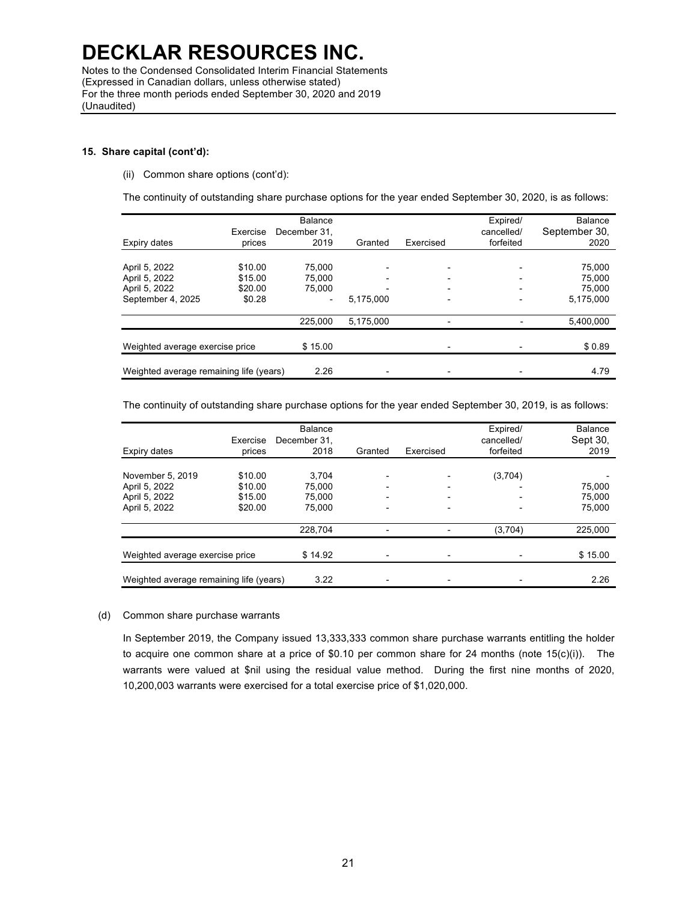Notes to the Condensed Consolidated Interim Financial Statements (Expressed in Canadian dollars, unless otherwise stated) For the three month periods ended September 30, 2020 and 2019 (Unaudited)

#### **15. Share capital (cont'd):**

(ii) Common share options (cont'd):

The continuity of outstanding share purchase options for the year ended September 30, 2020, is as follows:

| Expiry dates                                                         | Exercise<br>prices                      | <b>Balance</b><br>December 31.<br>2019 | Granted                                                           | Exercised | Expired/<br>cancelled/<br>forfeited                  | Balance<br>September 30,<br>2020        |
|----------------------------------------------------------------------|-----------------------------------------|----------------------------------------|-------------------------------------------------------------------|-----------|------------------------------------------------------|-----------------------------------------|
| April 5, 2022<br>April 5, 2022<br>April 5, 2022<br>September 4, 2025 | \$10.00<br>\$15.00<br>\$20.00<br>\$0.28 | 75.000<br>75,000<br>75.000             | $\overline{\phantom{a}}$<br>$\overline{\phantom{a}}$<br>5.175.000 |           | $\overline{\phantom{0}}$<br>$\overline{\phantom{0}}$ | 75,000<br>75,000<br>75.000<br>5,175,000 |
|                                                                      |                                         | 225.000                                | 5,175,000                                                         |           |                                                      | 5,400,000                               |
| Weighted average exercise price                                      |                                         | \$15.00                                |                                                                   |           |                                                      | \$0.89                                  |
| Weighted average remaining life (years)                              |                                         | 2.26                                   |                                                                   |           |                                                      | 4.79                                    |

The continuity of outstanding share purchase options for the year ended September 30, 2019, is as follows:

| Expiry dates                                                        | Exercise<br>prices                       | <b>Balance</b><br>December 31.<br>2018 | Granted                                                                              | Exercised | Expired/<br>cancelled/<br>forfeited | Balance<br>Sept 30,<br>2019 |
|---------------------------------------------------------------------|------------------------------------------|----------------------------------------|--------------------------------------------------------------------------------------|-----------|-------------------------------------|-----------------------------|
| November 5, 2019<br>April 5, 2022<br>April 5, 2022<br>April 5, 2022 | \$10.00<br>\$10.00<br>\$15.00<br>\$20.00 | 3.704<br>75.000<br>75.000<br>75.000    | $\qquad \qquad \blacksquare$<br>$\overline{\phantom{a}}$<br>$\overline{\phantom{a}}$ |           | (3,704)<br>$\overline{\phantom{a}}$ | 75.000<br>75.000<br>75,000  |
|                                                                     |                                          | 228.704                                |                                                                                      |           | (3,704)                             | 225.000                     |
| Weighted average exercise price                                     |                                          | \$14.92                                |                                                                                      |           |                                     | \$15.00                     |
| Weighted average remaining life (years)                             |                                          | 3.22                                   |                                                                                      |           |                                     | 2.26                        |

#### (d) Common share purchase warrants

In September 2019, the Company issued 13,333,333 common share purchase warrants entitling the holder to acquire one common share at a price of \$0.10 per common share for 24 months (note 15(c)(i)). The warrants were valued at \$nil using the residual value method. During the first nine months of 2020, 10,200,003 warrants were exercised for a total exercise price of \$1,020,000.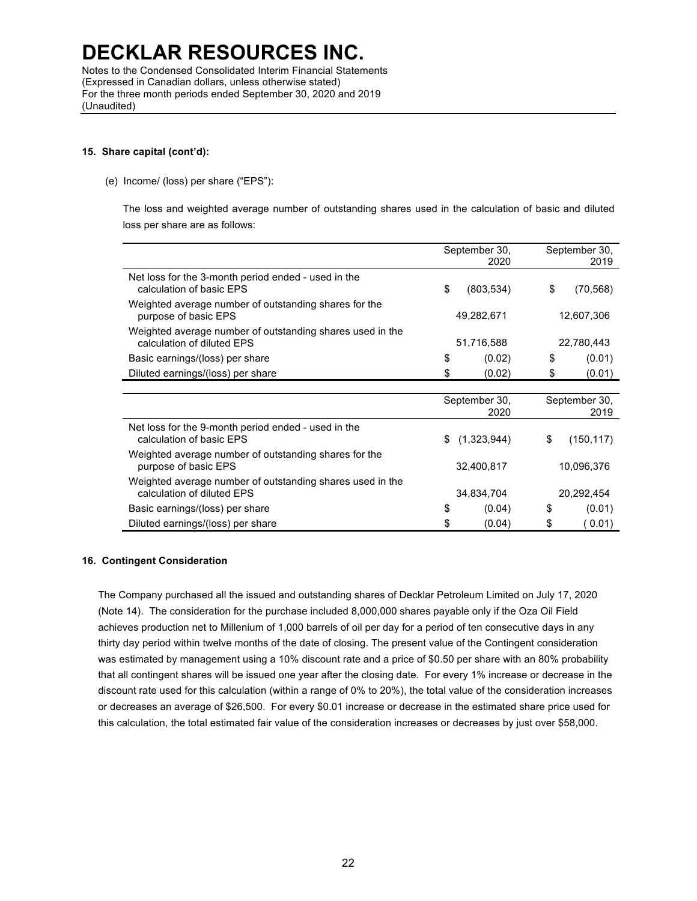Notes to the Condensed Consolidated Interim Financial Statements (Expressed in Canadian dollars, unless otherwise stated) For the three month periods ended September 30, 2020 and 2019 (Unaudited)

#### **15. Share capital (cont'd):**

#### (e) Income/ (loss) per share ("EPS"):

The loss and weighted average number of outstanding shares used in the calculation of basic and diluted loss per share are as follows:

|                                                                                         |               | September 30,<br>2020 | September 30,<br>2019 |            |
|-----------------------------------------------------------------------------------------|---------------|-----------------------|-----------------------|------------|
| Net loss for the 3-month period ended - used in the<br>calculation of basic EPS         | \$            | (803, 534)            | \$                    | (70, 568)  |
| Weighted average number of outstanding shares for the<br>purpose of basic EPS           |               | 49,282,671            |                       | 12,607,306 |
| Weighted average number of outstanding shares used in the<br>calculation of diluted EPS | 51,716,588    |                       | 22,780,443            |            |
| Basic earnings/(loss) per share                                                         | \$            | (0.02)                | \$                    | (0.01)     |
| Diluted earnings/(loss) per share                                                       | \$            | (0.02)                | \$                    | (0.01)     |
|                                                                                         |               |                       |                       |            |
|                                                                                         | September 30, |                       | September 30,         |            |
|                                                                                         |               | 2020                  |                       | 2019       |
| Net loss for the 9-month period ended - used in the<br>calculation of basic EPS         | \$.           | (1,323,944)           | \$                    | (150, 117) |
| Weighted average number of outstanding shares for the<br>purpose of basic EPS           | 32,400,817    |                       | 10,096,376            |            |
| Weighted average number of outstanding shares used in the<br>calculation of diluted EPS | 34,834,704    |                       |                       | 20,292,454 |
| Basic earnings/(loss) per share                                                         | \$            | (0.04)                | \$                    | (0.01)     |
| Diluted earnings/(loss) per share                                                       | \$            | (0.04)                | \$                    | (0.01)     |

### **16. Contingent Consideration**

The Company purchased all the issued and outstanding shares of Decklar Petroleum Limited on July 17, 2020 (Note 14). The consideration for the purchase included 8,000,000 shares payable only if the Oza Oil Field achieves production net to Millenium of 1,000 barrels of oil per day for a period of ten consecutive days in any thirty day period within twelve months of the date of closing. The present value of the Contingent consideration was estimated by management using a 10% discount rate and a price of \$0.50 per share with an 80% probability that all contingent shares will be issued one year after the closing date. For every 1% increase or decrease in the discount rate used for this calculation (within a range of 0% to 20%), the total value of the consideration increases or decreases an average of \$26,500. For every \$0.01 increase or decrease in the estimated share price used for this calculation, the total estimated fair value of the consideration increases or decreases by just over \$58,000.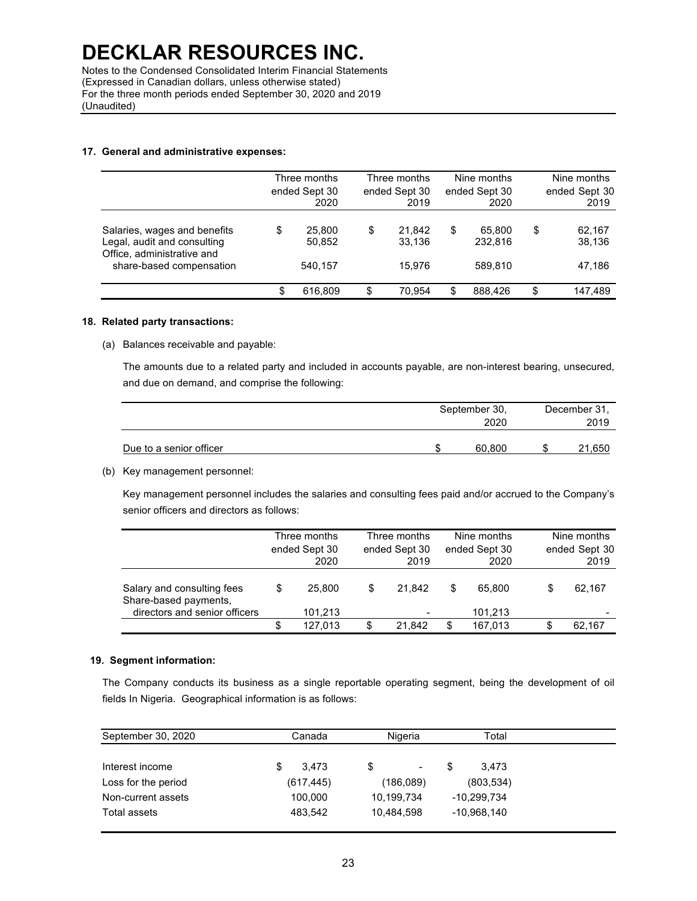Notes to the Condensed Consolidated Interim Financial Statements (Expressed in Canadian dollars, unless otherwise stated) For the three month periods ended September 30, 2020 and 2019 (Unaudited)

#### **17. General and administrative expenses:**

|                                                                                                                       | Three months<br>ended Sept 30<br>2020 |    | Three months<br>ended Sept 30<br>2019 |     | Nine months<br>ended Sept 30<br>2020 | Nine months<br>ended Sept 30<br>2019 |
|-----------------------------------------------------------------------------------------------------------------------|---------------------------------------|----|---------------------------------------|-----|--------------------------------------|--------------------------------------|
| Salaries, wages and benefits<br>Legal, audit and consulting<br>Office, administrative and<br>share-based compensation | \$<br>25,800<br>50,852<br>540.157     | S  | 21.842<br>33.136<br>15.976            | \$  | 65.800<br>232.816<br>589.810         | \$<br>62,167<br>38,136<br>47,186     |
|                                                                                                                       | \$<br>616,809                         | \$ | 70.954                                | \$. | 888.426                              | \$<br>147.489                        |

#### **18. Related party transactions:**

(a) Balances receivable and payable:

The amounts due to a related party and included in accounts payable, are non-interest bearing, unsecured, and due on demand, and comprise the following:

|                         | September 30,<br>2020 |        |    | December 31,<br>2019 |  |  |
|-------------------------|-----------------------|--------|----|----------------------|--|--|
| Due to a senior officer |                       | 60.800 | ۰D | 21,650               |  |  |

(b) Key management personnel:

Key management personnel includes the salaries and consulting fees paid and/or accrued to the Company's senior officers and directors as follows:

|                                                                                      | Three months<br>ended Sept 30<br>2020 |                   | Three months<br>ended Sept 30<br>2019 |                                    | Nine months<br>ended Sept 30<br>2020 |                   | Nine months<br>ended Sept 30<br>2019 |        |
|--------------------------------------------------------------------------------------|---------------------------------------|-------------------|---------------------------------------|------------------------------------|--------------------------------------|-------------------|--------------------------------------|--------|
| Salary and consulting fees<br>Share-based payments,<br>directors and senior officers | S                                     | 25.800<br>101,213 | S                                     | 21.842<br>$\overline{\phantom{a}}$ | S                                    | 65.800<br>101.213 | S.                                   | 62.167 |
|                                                                                      | S                                     | 127.013           | S                                     | 21.842                             | \$.                                  | 167.013           |                                      | 62.167 |

### **19. Segment information:**

The Company conducts its business as a single reportable operating segment, being the development of oil fields In Nigeria. Geographical information is as follows:

| September 30, 2020  | Canada      | Nigeria                     | Total         |  |
|---------------------|-------------|-----------------------------|---------------|--|
| Interest income     | 3.473<br>\$ |                             | S<br>3.473    |  |
| Loss for the period | (617, 445)  | $\blacksquare$<br>(186,089) | (803, 534)    |  |
| Non-current assets  | 100,000     | 10,199,734                  | -10,299,734   |  |
| Total assets        | 483,542     | 10.484.598                  | $-10,968,140$ |  |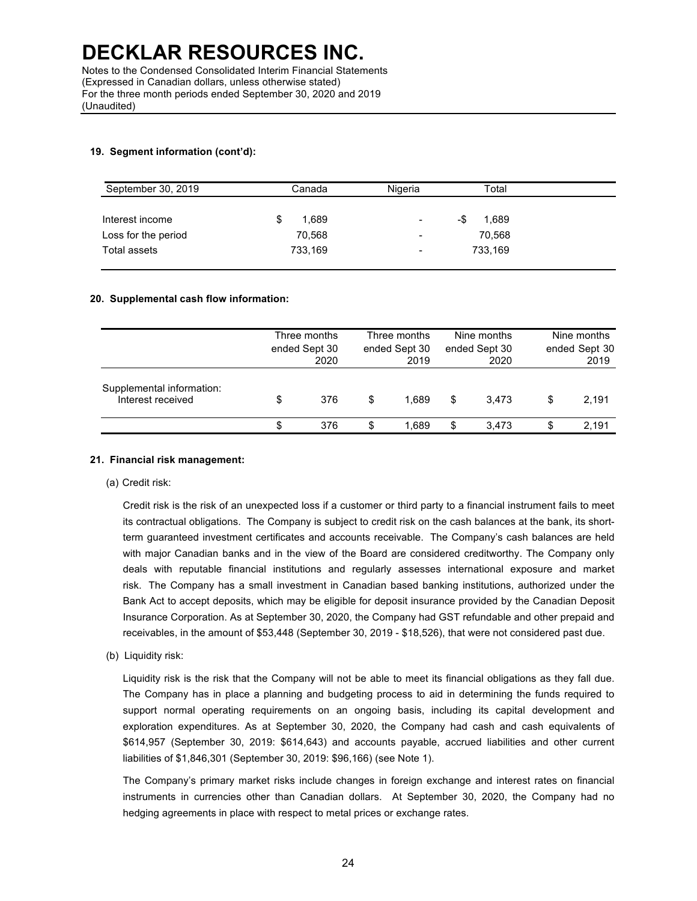#### **19. Segment information (cont'd):**

| September 30, 2019  | Canada     | Nigeria                  | Total        |
|---------------------|------------|--------------------------|--------------|
|                     |            |                          |              |
| Interest income     | 1,689<br>S | $\overline{\phantom{a}}$ | 1,689<br>-\$ |
| Loss for the period | 70,568     | -                        | 70.568       |
| Total assets        | 733,169    | $\overline{\phantom{a}}$ | 733,169      |
|                     |            |                          |              |

#### **20. Supplemental cash flow information:**

|                                                | Three months<br>ended Sept 30<br>2020 |     | Three months<br>ended Sept 30<br>2019 |       | Nine months<br>ended Sept 30<br>2020 |       | Nine months<br>ended Sept 30<br>2019 |       |
|------------------------------------------------|---------------------------------------|-----|---------------------------------------|-------|--------------------------------------|-------|--------------------------------------|-------|
| Supplemental information:<br>Interest received | \$                                    | 376 | \$                                    | 1.689 | S                                    | 3.473 | S                                    | 2.191 |
|                                                | S                                     | 376 | S                                     | 1.689 | S                                    | 3.473 |                                      | 2.191 |

#### **21. Financial risk management:**

(a) Credit risk:

Credit risk is the risk of an unexpected loss if a customer or third party to a financial instrument fails to meet its contractual obligations. The Company is subject to credit risk on the cash balances at the bank, its shortterm guaranteed investment certificates and accounts receivable. The Company's cash balances are held with major Canadian banks and in the view of the Board are considered creditworthy. The Company only deals with reputable financial institutions and regularly assesses international exposure and market risk. The Company has a small investment in Canadian based banking institutions, authorized under the Bank Act to accept deposits, which may be eligible for deposit insurance provided by the Canadian Deposit Insurance Corporation. As at September 30, 2020, the Company had GST refundable and other prepaid and receivables, in the amount of \$53,448 (September 30, 2019 - \$18,526), that were not considered past due.

(b) Liquidity risk:

Liquidity risk is the risk that the Company will not be able to meet its financial obligations as they fall due. The Company has in place a planning and budgeting process to aid in determining the funds required to support normal operating requirements on an ongoing basis, including its capital development and exploration expenditures. As at September 30, 2020, the Company had cash and cash equivalents of \$614,957 (September 30, 2019: \$614,643) and accounts payable, accrued liabilities and other current liabilities of \$1,846,301 (September 30, 2019: \$96,166) (see Note 1).

The Company's primary market risks include changes in foreign exchange and interest rates on financial instruments in currencies other than Canadian dollars. At September 30, 2020, the Company had no hedging agreements in place with respect to metal prices or exchange rates.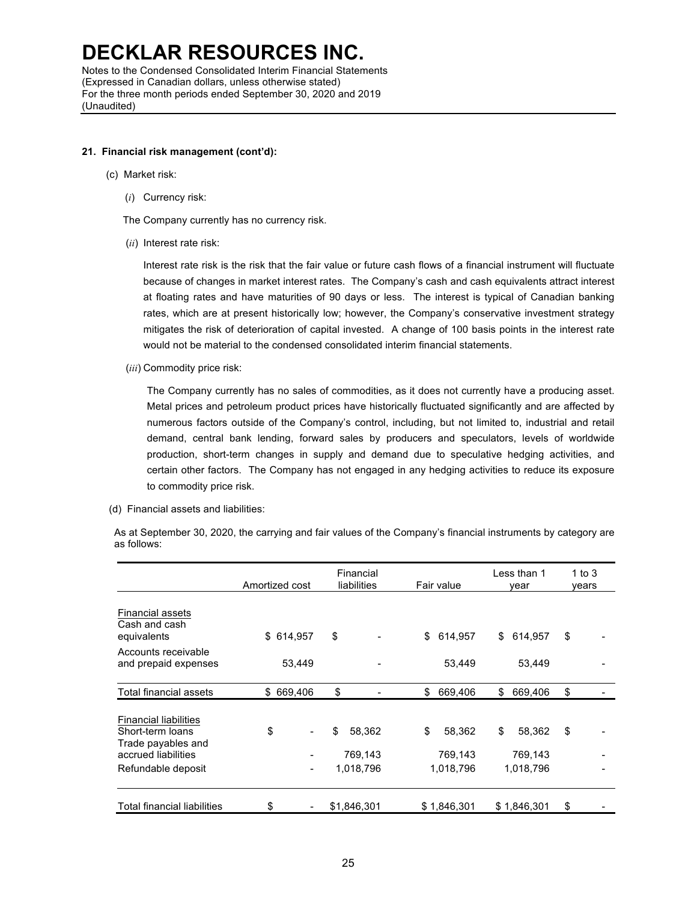#### **21. Financial risk management (cont'd):**

- (c) Market risk:
	- (*i*) Currency risk:
	- The Company currently has no currency risk.
	- (*ii*) Interest rate risk:

Interest rate risk is the risk that the fair value or future cash flows of a financial instrument will fluctuate because of changes in market interest rates. The Company's cash and cash equivalents attract interest at floating rates and have maturities of 90 days or less. The interest is typical of Canadian banking rates, which are at present historically low; however, the Company's conservative investment strategy mitigates the risk of deterioration of capital invested. A change of 100 basis points in the interest rate would not be material to the condensed consolidated interim financial statements.

(*iii*) Commodity price risk:

The Company currently has no sales of commodities, as it does not currently have a producing asset. Metal prices and petroleum product prices have historically fluctuated significantly and are affected by numerous factors outside of the Company's control, including, but not limited to, industrial and retail demand, central bank lending, forward sales by producers and speculators, levels of worldwide production, short-term changes in supply and demand due to speculative hedging activities, and certain other factors. The Company has not engaged in any hedging activities to reduce its exposure to commodity price risk.

(d) Financial assets and liabilities:

|                                                                                                                     | Amortized cost | Financial<br>liabilities             | Fair value                           | Less than 1<br>vear                  | 1 to 3<br>years |
|---------------------------------------------------------------------------------------------------------------------|----------------|--------------------------------------|--------------------------------------|--------------------------------------|-----------------|
| <b>Financial assets</b><br>Cash and cash<br>equivalents                                                             | \$ 614,957     | \$                                   | \$<br>614,957                        | \$<br>614,957                        | \$              |
| Accounts receivable<br>and prepaid expenses                                                                         | 53,449         |                                      | 53,449                               | 53,449                               |                 |
| Total financial assets                                                                                              | 669,406<br>\$  | \$                                   | \$<br>669,406                        | \$<br>669,406                        | \$              |
| <b>Financial liabilities</b><br>Short-term loans<br>Trade payables and<br>accrued liabilities<br>Refundable deposit | \$             | \$<br>58,362<br>769,143<br>1,018,796 | \$<br>58.362<br>769,143<br>1,018,796 | \$<br>58,362<br>769,143<br>1,018,796 | \$              |
| <b>Total financial liabilities</b>                                                                                  | \$             | \$1,846,301                          | \$1,846,301                          | \$1,846,301                          | \$              |

As at September 30, 2020, the carrying and fair values of the Company's financial instruments by category are as follows: